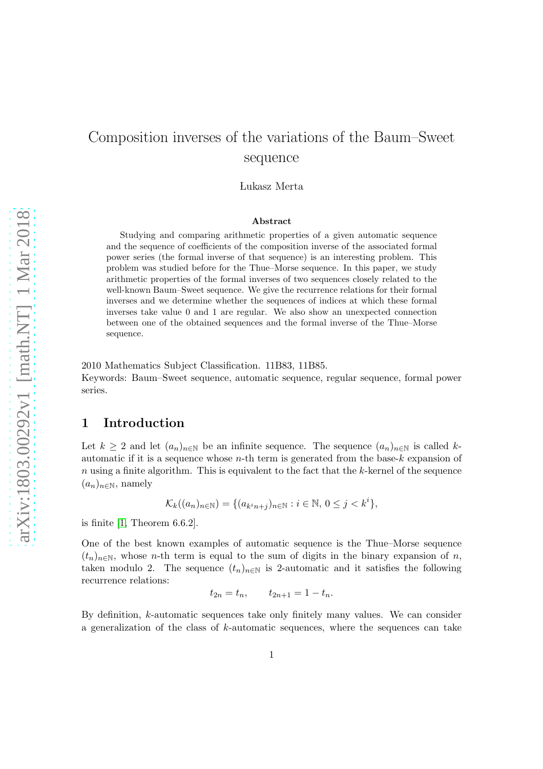# Composition inverses of the variations of the Baum–Sweet sequence

Lukasz Merta

#### Abstract

Studying and comparing arithmetic properties of a given automatic sequence and the sequence of coefficients of the composition inverse of the associated formal power series (the formal inverse of that sequence) is an interesting problem. This problem was studied before for the Thue–Morse sequence. In this paper, we study arithmetic properties of the formal inverses of two sequences closely related to the well-known Baum–Sweet sequence. We give the recurrence relations for their formal inverses and we determine whether the sequences of indices at which these formal inverses take value 0 and 1 are regular. We also show an unexpected connection between one of the obtained sequences and the formal inverse of the Thue–Morse sequence.

2010 Mathematics Subject Classification. 11B83, 11B85.

Keywords: Baum–Sweet sequence, automatic sequence, regular sequence, formal power series.

## 1 Introduction

Let  $k \geq 2$  and let  $(a_n)_{n\in\mathbb{N}}$  be an infinite sequence. The sequence  $(a_n)_{n\in\mathbb{N}}$  is called kautomatic if it is a sequence whose  $n$ -th term is generated from the base-k expansion of  $n$  using a finite algorithm. This is equivalent to the fact that the k-kernel of the sequence  $(a_n)_{n\in\mathbb{N}}$ , namely

$$
\mathcal{K}_k((a_n)_{n \in \mathbb{N}}) = \{ (a_{k^i n + j})_{n \in \mathbb{N}} : i \in \mathbb{N}, 0 \le j < k^i \},
$$

is finite [\[1,](#page-23-0) Theorem 6.6.2].

One of the best known examples of automatic sequence is the Thue–Morse sequence  $(t_n)_{n\in\mathbb{N}}$ , whose *n*-th term is equal to the sum of digits in the binary expansion of *n*, taken modulo 2. The sequence  $(t_n)_{n\in\mathbb{N}}$  is 2-automatic and it satisfies the following recurrence relations:

$$
t_{2n} = t_n, \qquad t_{2n+1} = 1 - t_n.
$$

By definition, k-automatic sequences take only finitely many values. We can consider a generalization of the class of  $k$ -automatic sequences, where the sequences can take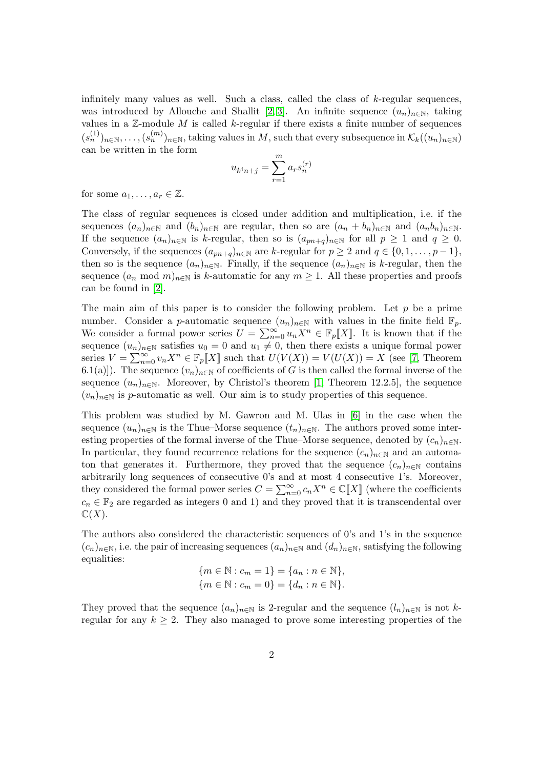infinitely many values as well. Such a class, called the class of k-regular sequences, was introduced by Allouche and Shallit [\[2,](#page-24-0) [3\]](#page-24-1). An infinite sequence  $(u_n)_{n\in\mathbb{N}}$ , taking values in a  $\mathbb Z$ -module  $M$  is called  $k$ -regular if there exists a finite number of sequences  $(s_n^{(1)})_{n\in\mathbb{N}},\ldots,(s_n^{(m)})_{n\in\mathbb{N}},$  taking values in M, such that every subsequence in  $\mathcal{K}_k((u_n)_{n\in\mathbb{N}})$ can be written in the form

$$
u_{k^{i}n+j} = \sum_{r=1}^{m} a_r s_n^{(r)}
$$

for some  $a_1, \ldots, a_r \in \mathbb{Z}$ .

The class of regular sequences is closed under addition and multiplication, i.e. if the sequences  $(a_n)_{n\in\mathbb{N}}$  and  $(b_n)_{n\in\mathbb{N}}$  are regular, then so are  $(a_n + b_n)_{n\in\mathbb{N}}$  and  $(a_nb_n)_{n\in\mathbb{N}}$ . If the sequence  $(a_n)_{n\in\mathbb{N}}$  is k-regular, then so is  $(a_{pn+q})_{n\in\mathbb{N}}$  for all  $p\geq 1$  and  $q\geq 0$ . Conversely, if the sequences  $(a_{pn+q})_{n\in\mathbb{N}}$  are k-regular for  $p \geq 2$  and  $q \in \{0, 1, \ldots, p-1\}$ , then so is the sequence  $(a_n)_{n\in\mathbb{N}}$ . Finally, if the sequence  $(a_n)_{n\in\mathbb{N}}$  is k-regular, then the sequence  $(a_n \mod m)_{n\in\mathbb{N}}$  is k-automatic for any  $m\geq 1$ . All these properties and proofs can be found in [\[2\]](#page-24-0).

The main aim of this paper is to consider the following problem. Let  $p$  be a prime number. Consider a p-automatic sequence  $(u_n)_{n\in\mathbb{N}}$  with values in the finite field  $\mathbb{F}_p$ . We consider a formal power series  $U = \sum_{n=0}^{\infty} u_n X^n \in \mathbb{F}_p[[X]]$ . It is known that if the sequence  $(u_n)_{n\in\mathbb{N}}$  satisfies  $u_0 = 0$  and  $u_1 \neq 0$ , then there exists a unique formal power series  $V = \sum_{n=0}^{\infty} v_n X^n \in \mathbb{F}_p[[X]]$  such that  $U(V(X)) = V(U(X)) = X$  (see [\[7,](#page-24-2) Theorem 6.1(a)]). The sequence  $(v_n)_{n\in\mathbb{N}}$  of coefficients of G is then called the formal inverse of the sequence  $(u_n)_{n\in\mathbb{N}}$ . Moreover, by Christol's theorem [\[1,](#page-23-0) Theorem 12.2.5], the sequence  $(v_n)_{n\in\mathbb{N}}$  is p-automatic as well. Our aim is to study properties of this sequence.

This problem was studied by M. Gawron and M. Ulas in [\[6\]](#page-24-3) in the case when the sequence  $(u_n)_{n\in\mathbb{N}}$  is the Thue–Morse sequence  $(t_n)_{n\in\mathbb{N}}$ . The authors proved some interesting properties of the formal inverse of the Thue–Morse sequence, denoted by  $(c_n)_{n\in\mathbb{N}}$ . In particular, they found recurrence relations for the sequence  $(c_n)_{n\in\mathbb{N}}$  and an automaton that generates it. Furthermore, they proved that the sequence  $(c_n)_{n\in\mathbb{N}}$  contains arbitrarily long sequences of consecutive 0's and at most 4 consecutive 1's. Moreover, they considered the formal power series  $C = \sum_{n=0}^{\infty} c_n X^n \in \mathbb{C}[X]$  (where the coefficients  $c_n \in \mathbb{F}_2$  are regarded as integers 0 and 1) and they proved that it is transcendental over  $\mathbb{C}(X)$ .

The authors also considered the characteristic sequences of 0's and 1's in the sequence  $(c_n)_{n\in\mathbb{N}}$ , i.e. the pair of increasing sequences  $(a_n)_{n\in\mathbb{N}}$  and  $(d_n)_{n\in\mathbb{N}}$ , satisfying the following equalities:

$$
{m \in \mathbb{N} : c_m = 1} = {a_n : n \in \mathbb{N}},
$$
  

$$
{m \in \mathbb{N} : c_m = 0} = {d_n : n \in \mathbb{N}}.
$$

They proved that the sequence  $(a_n)_{n\in\mathbb{N}}$  is 2-regular and the sequence  $(l_n)_{n\in\mathbb{N}}$  is not kregular for any  $k \geq 2$ . They also managed to prove some interesting properties of the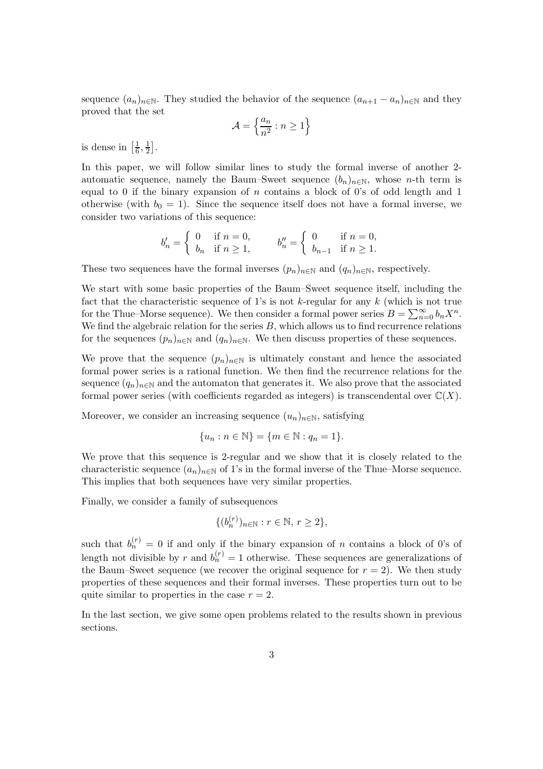sequence  $(a_n)_{n\in\mathbb{N}}$ . They studied the behavior of the sequence  $(a_{n+1} - a_n)_{n\in\mathbb{N}}$  and they proved that the set

$$
\mathcal{A}=\left\{\frac{a_n}{n^2}:n\geq 1\right\}
$$

is dense in  $\left[\frac{1}{6}\right]$  $\frac{1}{6}, \frac{1}{2}$  $\frac{1}{2}$ .

In this paper, we will follow similar lines to study the formal inverse of another 2 automatic sequence, namely the Baum–Sweet sequence  $(b_n)_{n\in\mathbb{N}}$ , whose n-th term is equal to 0 if the binary expansion of  $n$  contains a block of 0's of odd length and 1 otherwise (with  $b_0 = 1$ ). Since the sequence itself does not have a formal inverse, we consider two variations of this sequence:

$$
b'_n = \begin{cases} 0 & \text{if } n = 0, \\ b_n & \text{if } n \ge 1, \end{cases} \qquad b''_n = \begin{cases} 0 & \text{if } n = 0, \\ b_{n-1} & \text{if } n \ge 1. \end{cases}
$$

These two sequences have the formal inverses  $(p_n)_{n\in\mathbb{N}}$  and  $(q_n)_{n\in\mathbb{N}}$ , respectively.

We start with some basic properties of the Baum–Sweet sequence itself, including the fact that the characteristic sequence of 1's is not k-regular for any  $k$  (which is not true for the Thue–Morse sequence). We then consider a formal power series  $B = \sum_{n=0}^{\infty} b_n X^n$ . We find the algebraic relation for the series  $B$ , which allows us to find recurrence relations for the sequences  $(p_n)_{n\in\mathbb{N}}$  and  $(q_n)_{n\in\mathbb{N}}$ . We then discuss properties of these sequences.

We prove that the sequence  $(p_n)_{n\in\mathbb{N}}$  is ultimately constant and hence the associated formal power series is a rational function. We then find the recurrence relations for the sequence  $(q_n)_{n\in\mathbb{N}}$  and the automaton that generates it. We also prove that the associated formal power series (with coefficients regarded as integers) is transcendental over  $\mathbb{C}(X)$ .

Moreover, we consider an increasing sequence  $(u_n)_{n\in\mathbb{N}}$ , satisfying

$$
\{u_n : n \in \mathbb{N}\} = \{m \in \mathbb{N} : q_n = 1\}.
$$

We prove that this sequence is 2-regular and we show that it is closely related to the characteristic sequence  $(a_n)_{n\in\mathbb{N}}$  of 1's in the formal inverse of the Thue–Morse sequence. This implies that both sequences have very similar properties.

Finally, we consider a family of subsequences

$$
\{(b_n^{(r)})_{n\in\mathbb{N}} : r \in \mathbb{N}, r \ge 2\},\
$$

such that  $b_n^{(r)} = 0$  if and only if the binary expansion of n contains a block of 0's of length not divisible by r and  $b_n^{(r)} = 1$  otherwise. These sequences are generalizations of the Baum–Sweet sequence (we recover the original sequence for  $r = 2$ ). We then study properties of these sequences and their formal inverses. These properties turn out to be quite similar to properties in the case  $r = 2$ .

In the last section, we give some open problems related to the results shown in previous sections.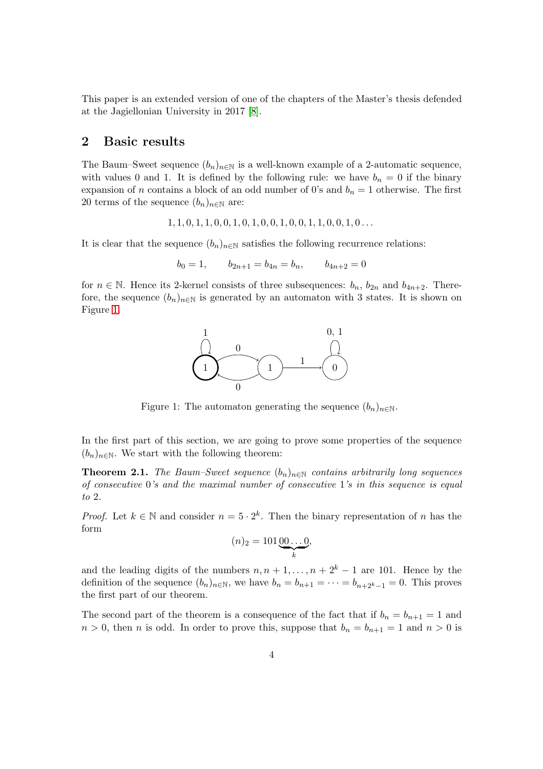This paper is an extended version of one of the chapters of the Master's thesis defended at the Jagiellonian University in 2017 [\[8\]](#page-24-4).

## <span id="page-3-2"></span>2 Basic results

The Baum–Sweet sequence  $(b_n)_{n\in\mathbb{N}}$  is a well-known example of a 2-automatic sequence, with values 0 and 1. It is defined by the following rule: we have  $b_n = 0$  if the binary expansion of *n* contains a block of an odd number of 0's and  $b_n = 1$  otherwise. The first 20 terms of the sequence  $(b_n)_{n\in\mathbb{N}}$  are:

 $1, 1, 0, 1, 1, 0, 0, 1, 0, 1, 0, 0, 1, 0, 0, 1, 1, 0, 0, 1, 0 \ldots$ 

It is clear that the sequence  $(b_n)_{n\in\mathbb{N}}$  satisfies the following recurrence relations:

$$
b_0 = 1, \qquad b_{2n+1} = b_{4n} = b_n, \qquad b_{4n+2} = 0
$$

for  $n \in \mathbb{N}$ . Hence its 2-kernel consists of three subsequences:  $b_n$ ,  $b_{2n}$  and  $b_{4n+2}$ . Therefore, the sequence  $(b_n)_{n\in\mathbb{N}}$  is generated by an automaton with 3 states. It is shown on Figure [1.](#page-3-0)



<span id="page-3-0"></span>Figure 1: The automaton generating the sequence  $(b_n)_{n\in\mathbb{N}}$ .

In the first part of this section, we are going to prove some properties of the sequence  $(b_n)_{n\in\mathbb{N}}$ . We start with the following theorem:

<span id="page-3-1"></span>**Theorem 2.1.** *The Baum–Sweet sequence*  $(b_n)_{n \in \mathbb{N}}$  *contains arbitrarily long sequences of consecutive* 0*'s and the maximal number of consecutive* 1*'s in this sequence is equal to* 2*.*

*Proof.* Let  $k \in \mathbb{N}$  and consider  $n = 5 \cdot 2^k$ . Then the binary representation of n has the form

$$
(n)_2 = 101 \underbrace{00 \dots 0}_{k},
$$

and the leading digits of the numbers  $n, n + 1, \ldots, n + 2<sup>k</sup> - 1$  are 101. Hence by the definition of the sequence  $(b_n)_{n\in\mathbb{N}}$ , we have  $b_n = b_{n+1} = \cdots = b_{n+2^k-1} = 0$ . This proves the first part of our theorem.

The second part of the theorem is a consequence of the fact that if  $b_n = b_{n+1} = 1$  and  $n > 0$ , then n is odd. In order to prove this, suppose that  $b_n = b_{n+1} = 1$  and  $n > 0$  is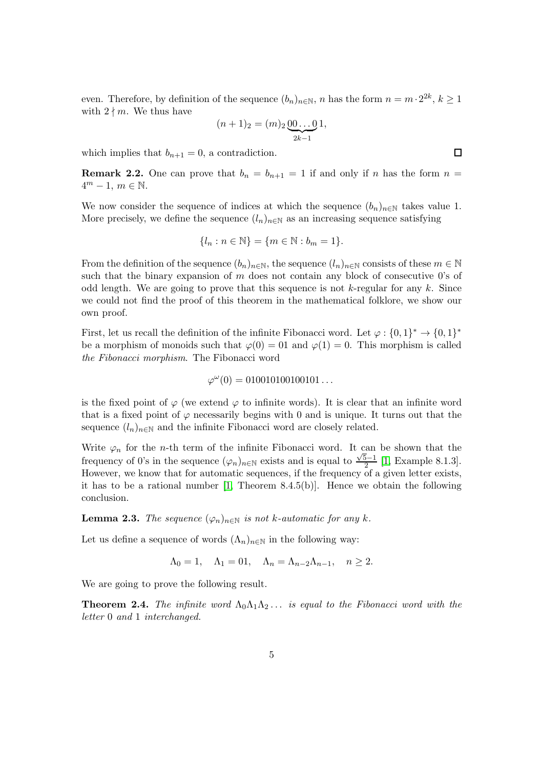even. Therefore, by definition of the sequence  $(b_n)_{n\in\mathbb{N}}$ , n has the form  $n = m \cdot 2^{2k}$ ,  $k \ge 1$ with  $2 \nmid m$ . We thus have

$$
(n+1)2 = (m)2 \underbrace{00...0}_{2k-1} 1,
$$

which implies that  $b_{n+1} = 0$ , a contradiction.

**Remark 2.2.** One can prove that  $b_n = b_{n+1} = 1$  if and only if n has the form  $n =$  $4^m - 1, m \in \mathbb{N}.$ 

We now consider the sequence of indices at which the sequence  $(b_n)_{n\in\mathbb{N}}$  takes value 1. More precisely, we define the sequence  $(l_n)_{n\in\mathbb{N}}$  as an increasing sequence satisfying

$$
\{l_n : n \in \mathbb{N}\} = \{m \in \mathbb{N} : b_m = 1\}.
$$

From the definition of the sequence  $(b_n)_{n\in\mathbb{N}}$ , the sequence  $(l_n)_{n\in\mathbb{N}}$  consists of these  $m\in\mathbb{N}$ such that the binary expansion of  $m$  does not contain any block of consecutive 0's of odd length. We are going to prove that this sequence is not  $k$ -regular for any k. Since we could not find the proof of this theorem in the mathematical folklore, we show our own proof.

First, let us recall the definition of the infinite Fibonacci word. Let  $\varphi: \{0,1\}^* \to \{0,1\}^*$ be a morphism of monoids such that  $\varphi(0) = 01$  and  $\varphi(1) = 0$ . This morphism is called *the Fibonacci morphism*. The Fibonacci word

$$
\varphi^{\omega}(0) = 010010100100101\ldots
$$

is the fixed point of  $\varphi$  (we extend  $\varphi$  to infinite words). It is clear that an infinite word that is a fixed point of  $\varphi$  necessarily begins with 0 and is unique. It turns out that the sequence  $(l_n)_{n\in\mathbb{N}}$  and the infinite Fibonacci word are closely related.

Write  $\varphi_n$  for the *n*-th term of the infinite Fibonacci word. It can be shown that the frequency of 0's in the sequence  $(\varphi_n)_{n\in\mathbb{N}}$  exists and is equal to  $\frac{\sqrt{5}-1}{2}$  [\[1,](#page-23-0) Example 8.1.3]. However, we know that for automatic sequences, if the frequency of a given letter exists, it has to be a rational number [\[1,](#page-23-0) Theorem 8.4.5(b)]. Hence we obtain the following conclusion.

<span id="page-4-1"></span>**Lemma 2.3.** *The sequence*  $(\varphi_n)_{n \in \mathbb{N}}$  *is not k-automatic for any k.* 

Let us define a sequence of words  $(\Lambda_n)_{n\in\mathbb{N}}$  in the following way:

$$
\Lambda_0 = 1, \quad \Lambda_1 = 01, \quad \Lambda_n = \Lambda_{n-2}\Lambda_{n-1}, \quad n \ge 2.
$$

We are going to prove the following result.

<span id="page-4-0"></span>**Theorem 2.4.** *The infinite word*  $\Lambda_0 \Lambda_1 \Lambda_2 \ldots$  *is equal to the Fibonacci word with the letter* 0 *and* 1 *interchanged.*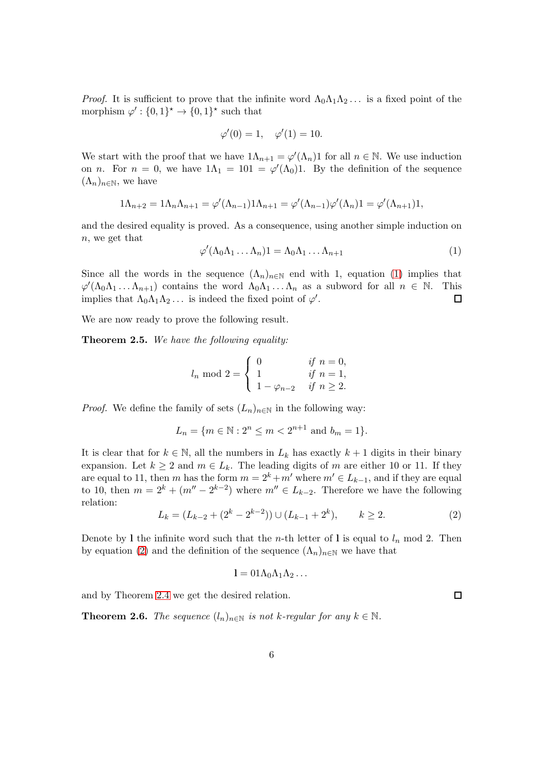*Proof.* It is sufficient to prove that the infinite word  $\Lambda_0 \Lambda_1 \Lambda_2 \ldots$  is a fixed point of the morphism  $\varphi' : \{0,1\}^* \to \{0,1\}^*$  such that

$$
\varphi'(0) = 1, \quad \varphi'(1) = 10.
$$

We start with the proof that we have  $1\Lambda_{n+1} = \varphi'(\Lambda_n)1$  for all  $n \in \mathbb{N}$ . We use induction on *n*. For  $n = 0$ , we have  $1\Lambda_1 = 101 = \varphi'(\Lambda_0)1$ . By the definition of the sequence  $(\Lambda_n)_{n\in\mathbb{N}}$ , we have

$$
1\Lambda_{n+2}=1\Lambda_n\Lambda_{n+1}=\varphi'(\Lambda_{n-1})1\Lambda_{n+1}=\varphi'(\Lambda_{n-1})\varphi'(\Lambda_n)1=\varphi'(\Lambda_{n+1})1,
$$

and the desired equality is proved. As a consequence, using another simple induction on n, we get that

<span id="page-5-0"></span>
$$
\varphi'(\Lambda_0\Lambda_1\ldots\Lambda_n)1=\Lambda_0\Lambda_1\ldots\Lambda_{n+1}
$$
\n(1)

Since all the words in the sequence  $(\Lambda_n)_{n\in\mathbb{N}}$  end with 1, equation [\(1\)](#page-5-0) implies that  $\varphi'(\Lambda_0\Lambda_1\ldots\Lambda_{n+1})$  contains the word  $\Lambda_0\Lambda_1\ldots\Lambda_n$  as a subword for all  $n \in \mathbb{N}$ . This implies that  $\Lambda_0 \Lambda_1 \Lambda_2 \ldots$  is indeed the fixed point of  $\varphi'$ .  $\Box$ 

We are now ready to prove the following result.

<span id="page-5-2"></span>Theorem 2.5. *We have the following equality:*

$$
l_n \mod 2 = \begin{cases} 0 & \text{if } n = 0, \\ 1 & \text{if } n = 1, \\ 1 - \varphi_{n-2} & \text{if } n \ge 2. \end{cases}
$$

*Proof.* We define the family of sets  $(L_n)_{n\in\mathbb{N}}$  in the following way:

$$
L_n = \{ m \in \mathbb{N} : 2^n \le m < 2^{n+1} \text{ and } b_m = 1 \}.
$$

It is clear that for  $k \in \mathbb{N}$ , all the numbers in  $L_k$  has exactly  $k+1$  digits in their binary expansion. Let  $k \geq 2$  and  $m \in L_k$ . The leading digits of m are either 10 or 11. If they are equal to 11, then m has the form  $m = 2^k + m'$  where  $m' \in L_{k-1}$ , and if they are equal to 10, then  $m = 2^k + (m'' - 2^{k-2})$  where  $m'' \in L_{k-2}$ . Therefore we have the following relation:

<span id="page-5-1"></span>
$$
L_k = (L_{k-2} + (2^k - 2^{k-2})) \cup (L_{k-1} + 2^k), \qquad k \ge 2.
$$
 (2)

Denote by 1 the infinite word such that the *n*-th letter of 1 is equal to  $l_n$  mod 2. Then by equation [\(2\)](#page-5-1) and the definition of the sequence  $(\Lambda_n)_{n\in\mathbb{N}}$  we have that

$$
l = 01\Lambda_0\Lambda_1\Lambda_2\ldots
$$

and by Theorem [2.4](#page-4-0) we get the desired relation.

<span id="page-5-3"></span>**Theorem 2.6.** *The sequence*  $(l_n)_{n \in \mathbb{N}}$  *is not k-regular for any*  $k \in \mathbb{N}$ *.*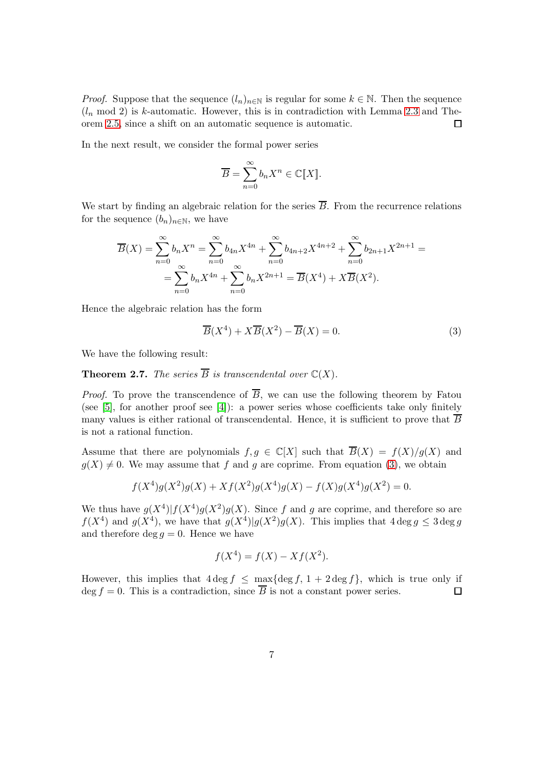*Proof.* Suppose that the sequence  $(l_n)_{n\in\mathbb{N}}$  is regular for some  $k \in \mathbb{N}$ . Then the sequence  $(l_n \mod 2)$  is k-automatic. However, this is in contradiction with Lemma [2.3](#page-4-1) and Theorem [2.5,](#page-5-2) since a shift on an automatic sequence is automatic.  $\Box$ 

In the next result, we consider the formal power series

$$
\overline{B} = \sum_{n=0}^{\infty} b_n X^n \in \mathbb{C}[\![X]\!].
$$

We start by finding an algebraic relation for the series  $\overline{B}$ . From the recurrence relations for the sequence  $(b_n)_{n\in\mathbb{N}}$ , we have

$$
\overline{B}(X) = \sum_{n=0}^{\infty} b_n X^n = \sum_{n=0}^{\infty} b_{4n} X^{4n} + \sum_{n=0}^{\infty} b_{4n+2} X^{4n+2} + \sum_{n=0}^{\infty} b_{2n+1} X^{2n+1} =
$$
  
= 
$$
\sum_{n=0}^{\infty} b_n X^{4n} + \sum_{n=0}^{\infty} b_n X^{2n+1} = \overline{B}(X^4) + X \overline{B}(X^2).
$$

Hence the algebraic relation has the form

<span id="page-6-0"></span>
$$
\overline{B}(X^4) + X\overline{B}(X^2) - \overline{B}(X) = 0.
$$
\n(3)

We have the following result:

<span id="page-6-1"></span>**Theorem 2.7.** *The series*  $\overline{B}$  *is transcendental over*  $\mathbb{C}(X)$ *.* 

*Proof.* To prove the transcendence of  $\overline{B}$ , we can use the following theorem by Fatou (see [\[5\]](#page-24-5), for another proof see [\[4\]](#page-24-6)): a power series whose coefficients take only finitely many values is either rational of transcendental. Hence, it is sufficient to prove that  $\overline{B}$ is not a rational function.

Assume that there are polynomials  $f, g \in \mathbb{C}[X]$  such that  $\overline{B}(X) = f(X)/g(X)$  and  $g(X) \neq 0$ . We may assume that f and g are coprime. From equation [\(3\)](#page-6-0), we obtain

$$
f(X^4)g(X^2)g(X) + Xf(X^2)g(X^4)g(X) - f(X)g(X^4)g(X^2) = 0.
$$

We thus have  $g(X^4)|f(X^4)g(X^2)g(X)$ . Since f and g are coprime, and therefore so are  $f(X^4)$  and  $g(X^4)$ , we have that  $g(X^4)|g(X^2)g(X)$ . This implies that  $4 \deg g \leq 3 \deg g$ and therefore deg  $q = 0$ . Hence we have

$$
f(X^4) = f(X) - Xf(X^2).
$$

However, this implies that  $4 \deg f \le \max\{\deg f, 1 + 2 \deg f\}$ , which is true only if deg  $f = 0$ . This is a contradiction, since  $\overline{B}$  is not a constant power series.  $\Box$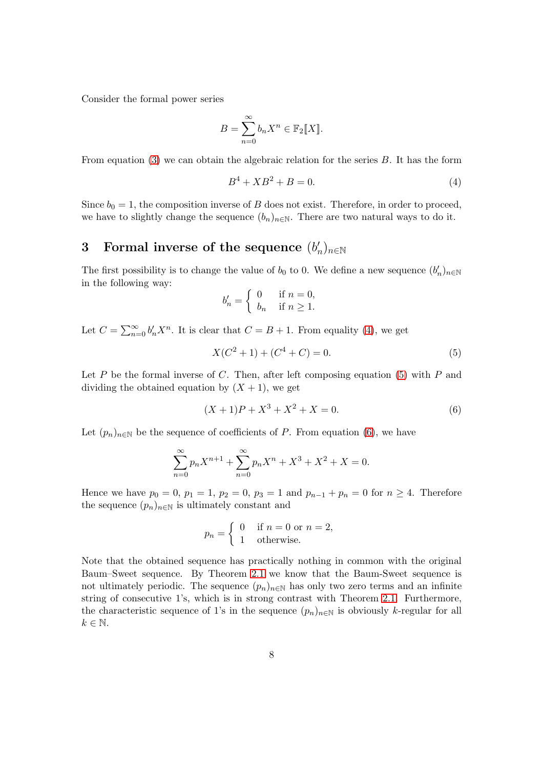Consider the formal power series

$$
B = \sum_{n=0}^{\infty} b_n X^n \in \mathbb{F}_2[[X]].
$$

From equation [\(3\)](#page-6-0) we can obtain the algebraic relation for the series B. It has the form

<span id="page-7-0"></span>
$$
B^4 + XB^2 + B = 0.\t\t(4)
$$

Since  $b_0 = 1$ , the composition inverse of B does not exist. Therefore, in order to proceed, we have to slightly change the sequence  $(b_n)_{n\in\mathbb{N}}$ . There are two natural ways to do it.

#### 3 Formal inverse of the sequence  $(b'_i)$  $_n')_{n\in\mathbb{N}}$

The first possibility is to change the value of  $b_0$  to 0. We define a new sequence  $(b'_n)_{n\in\mathbb{N}}$ in the following way:

$$
b'_n = \begin{cases} 0 & \text{if } n = 0, \\ b_n & \text{if } n \ge 1. \end{cases}
$$

Let  $C = \sum_{n=0}^{\infty} b'_n X^n$ . It is clear that  $C = B + 1$ . From equality [\(4\)](#page-7-0), we get

<span id="page-7-1"></span>
$$
X(C2 + 1) + (C4 + C) = 0.
$$
 (5)

Let  $P$  be the formal inverse of  $C$ . Then, after left composing equation [\(5\)](#page-7-1) with  $P$  and dividing the obtained equation by  $(X + 1)$ , we get

<span id="page-7-2"></span>
$$
(X+1)P + X^3 + X^2 + X = 0.
$$
\n(6)

Let  $(p_n)_{n\in\mathbb{N}}$  be the sequence of coefficients of P. From equation [\(6\)](#page-7-2), we have

$$
\sum_{n=0}^{\infty} p_n X^{n+1} + \sum_{n=0}^{\infty} p_n X^n + X^3 + X^2 + X = 0.
$$

Hence we have  $p_0 = 0$ ,  $p_1 = 1$ ,  $p_2 = 0$ ,  $p_3 = 1$  and  $p_{n-1} + p_n = 0$  for  $n \ge 4$ . Therefore the sequence  $(p_n)_{n\in\mathbb{N}}$  is ultimately constant and

$$
p_n = \begin{cases} 0 & \text{if } n = 0 \text{ or } n = 2, \\ 1 & \text{otherwise.} \end{cases}
$$

Note that the obtained sequence has practically nothing in common with the original Baum–Sweet sequence. By Theorem [2.1](#page-3-1) we know that the Baum-Sweet sequence is not ultimately periodic. The sequence  $(p_n)_{n\in\mathbb{N}}$  has only two zero terms and an infinite string of consecutive 1's, which is in strong contrast with Theorem [2.1.](#page-3-1) Furthermore, the characteristic sequence of 1's in the sequence  $(p_n)_{n\in\mathbb{N}}$  is obviously k-regular for all  $k \in \mathbb{N}$ .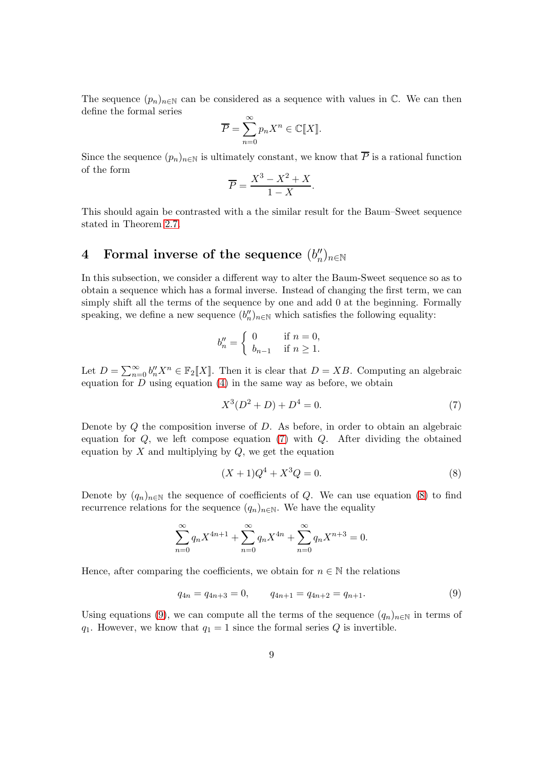The sequence  $(p_n)_{n\in\mathbb{N}}$  can be considered as a sequence with values in  $\mathbb{C}$ . We can then define the formal series

$$
\overline{P} = \sum_{n=0}^{\infty} p_n X^n \in \mathbb{C}[[X]].
$$

Since the sequence  $(p_n)_{n\in\mathbb{N}}$  is ultimately constant, we know that  $\overline{P}$  is a rational function of the form

$$
\overline{P} = \frac{X^3 - X^2 + X}{1 - X}.
$$

This should again be contrasted with a the similar result for the Baum–Sweet sequence stated in Theorem [2.7.](#page-6-1)

#### <span id="page-8-3"></span>4 Formal inverse of the sequence  $(b''_n)$  $_n^{\prime\prime})_{n\in\mathbb{N}}$

In this subsection, we consider a different way to alter the Baum-Sweet sequence so as to obtain a sequence which has a formal inverse. Instead of changing the first term, we can simply shift all the terms of the sequence by one and add 0 at the beginning. Formally speaking, we define a new sequence  $(b''_n)_{n \in \mathbb{N}}$  which satisfies the following equality:

$$
b''_n = \begin{cases} 0 & \text{if } n = 0, \\ b_{n-1} & \text{if } n \ge 1. \end{cases}
$$

Let  $D = \sum_{n=0}^{\infty} b''_n X^n \in \mathbb{F}_2[[X]]$ . Then it is clear that  $D = XB$ . Computing an algebraic equation for  $D$  using equation  $(4)$  in the same way as before, we obtain

<span id="page-8-0"></span>
$$
X^3(D^2 + D) + D^4 = 0.\t\t(7)
$$

Denote by  $Q$  the composition inverse of  $D$ . As before, in order to obtain an algebraic equation for  $Q$ , we left compose equation [\(7\)](#page-8-0) with  $Q$ . After dividing the obtained equation by  $X$  and multiplying by  $Q$ , we get the equation

<span id="page-8-1"></span>
$$
(X+1)Q^4 + X^3 Q = 0.
$$
\n(8)

Denote by  $(q_n)_{n\in\mathbb{N}}$  the sequence of coefficients of Q. We can use equation [\(8\)](#page-8-1) to find recurrence relations for the sequence  $(q_n)_{n\in\mathbb{N}}$ . We have the equality

$$
\sum_{n=0}^{\infty} q_n X^{4n+1} + \sum_{n=0}^{\infty} q_n X^{4n} + \sum_{n=0}^{\infty} q_n X^{n+3} = 0.
$$

Hence, after comparing the coefficients, we obtain for  $n \in \mathbb{N}$  the relations

<span id="page-8-2"></span>
$$
q_{4n} = q_{4n+3} = 0, \qquad q_{4n+1} = q_{4n+2} = q_{n+1}.
$$
 (9)

Using equations [\(9\)](#page-8-2), we can compute all the terms of the sequence  $(q_n)_{n\in\mathbb{N}}$  in terms of  $q_1$ . However, we know that  $q_1 = 1$  since the formal series Q is invertible.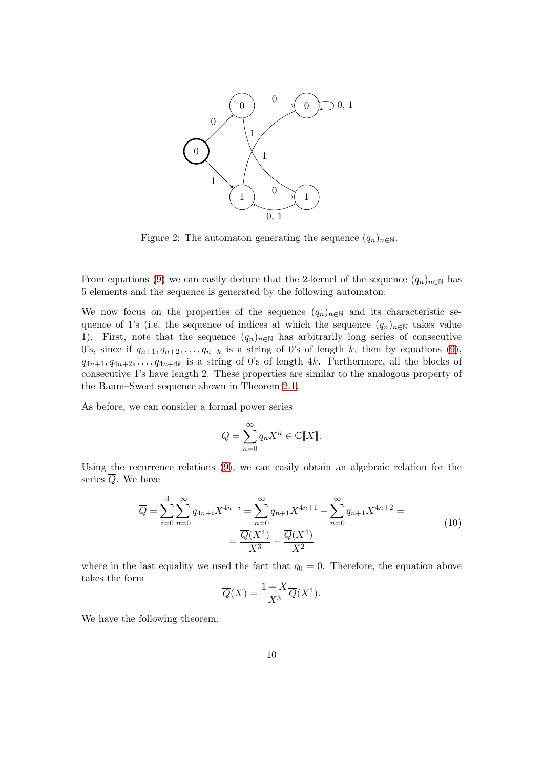

<span id="page-9-1"></span>Figure 2: The automaton generating the sequence  $(q_n)_{n\in\mathbb{N}}$ .

From equations [\(9\)](#page-8-2) we can easily deduce that the 2-kernel of the sequence  $(q_n)_{n\in\mathbb{N}}$  has 5 elements and the sequence is generated by the following automaton:

We now focus on the properties of the sequence  $(q_n)_{n\in\mathbb{N}}$  and its characteristic sequence of 1's (i.e. the sequence of indices at which the sequence  $(q_n)_{n\in\mathbb{N}}$  takes value 1). First, note that the sequence  $(q_n)_{n\in\mathbb{N}}$  has arbitrarily long series of consecutive 0's, since if  $q_{n+1}, q_{n+2}, \ldots, q_{n+k}$  is a string of 0's of length k, then by equations [\(9\)](#page-8-2),  $q_{4n+1}, q_{4n+2}, \ldots, q_{4n+4k}$  is a string of 0's of length 4k. Furthermore, all the blocks of consecutive 1's have length 2. These properties are similar to the analogous property of the Baum–Sweet sequence shown in Theorem [2.1.](#page-3-1)

As before, we can consider a formal power series

$$
\overline{Q} = \sum_{n=0}^{\infty} q_n X^n \in \mathbb{C}[[X]].
$$

Using the recurrence relations [\(9\)](#page-8-2), we can easily obtain an algebraic relation for the series  $\overline{Q}$ . We have

<span id="page-9-0"></span>
$$
\overline{Q} = \sum_{i=0}^{3} \sum_{n=0}^{\infty} q_{4n+i} X^{4n+i} = \sum_{n=0}^{\infty} q_{n+1} X^{4n+1} + \sum_{n=0}^{\infty} q_{n+1} X^{4n+2} =
$$
\n
$$
= \frac{\overline{Q}(X^4)}{X^3} + \frac{\overline{Q}(X^4)}{X^2}
$$
\n(10)

where in the last equality we used the fact that  $q_0 = 0$ . Therefore, the equation above takes the form

$$
\overline{Q}(X) = \frac{1+X}{X^3} \overline{Q}(X^4).
$$

We have the following theorem.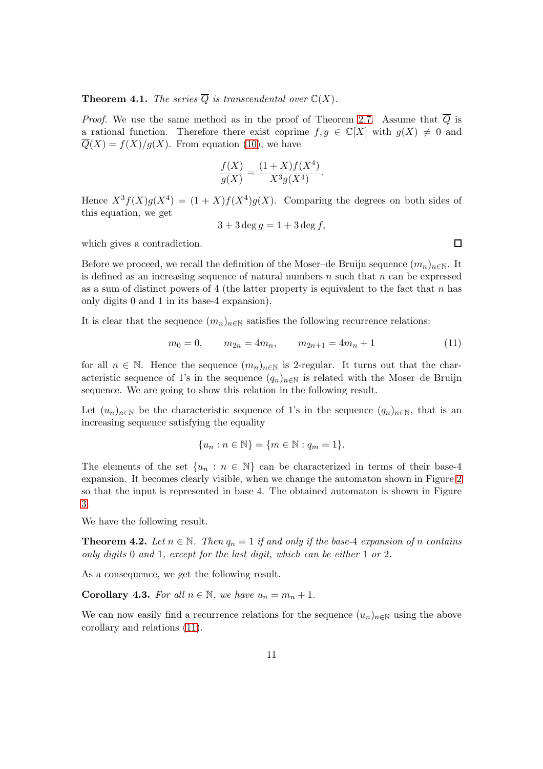<span id="page-10-2"></span>**Theorem 4.1.** *The series*  $\overline{Q}$  *is transcendental over*  $\mathbb{C}(X)$ *.* 

*Proof.* We use the same method as in the proof of Theorem [2.7.](#page-6-1) Assume that  $\overline{Q}$  is a rational function. Therefore there exist coprime  $f, g \in \mathbb{C}[X]$  with  $g(X) \neq 0$  and  $\overline{Q}(X) = f(X)/g(X)$ . From equation [\(10\)](#page-9-0), we have

$$
\frac{f(X)}{g(X)} = \frac{(1+X)f(X^4)}{X^3 g(X^4)}.
$$

Hence  $X^3 f(X) g(X^4) = (1+X) f(X^4) g(X)$ . Comparing the degrees on both sides of this equation, we get

$$
3 + 3 \deg g = 1 + 3 \deg f,
$$

which gives a contradiction.

Before we proceed, we recall the definition of the Moser–de Bruijn sequence  $(m_n)_{n\in\mathbb{N}}$ . It is defined as an increasing sequence of natural numbers  $n$  such that  $n$  can be expressed as a sum of distinct powers of 4 (the latter property is equivalent to the fact that  $n$  has only digits 0 and 1 in its base-4 expansion).

It is clear that the sequence  $(m_n)_{n\in\mathbb{N}}$  satisfies the following recurrence relations:

<span id="page-10-0"></span>
$$
m_0 = 0, \qquad m_{2n} = 4m_n, \qquad m_{2n+1} = 4m_n + 1 \tag{11}
$$

for all  $n \in \mathbb{N}$ . Hence the sequence  $(m_n)_{n \in \mathbb{N}}$  is 2-regular. It turns out that the characteristic sequence of 1's in the sequence  $(q_n)_{n\in\mathbb{N}}$  is related with the Moser–de Bruijn sequence. We are going to show this relation in the following result.

Let  $(u_n)_{n\in\mathbb{N}}$  be the characteristic sequence of 1's in the sequence  $(q_n)_{n\in\mathbb{N}}$ , that is an increasing sequence satisfying the equality

$$
\{u_n : n \in \mathbb{N}\} = \{m \in \mathbb{N} : q_m = 1\}.
$$

The elements of the set  $\{u_n : n \in \mathbb{N}\}\)$  can be characterized in terms of their base-4 expansion. It becomes clearly visible, when we change the automaton shown in Figure [2](#page-9-1) so that the input is represented in base 4. The obtained automaton is shown in Figure [3.](#page-11-0)

We have the following result.

**Theorem 4.2.** Let  $n \in \mathbb{N}$ . Then  $q_n = 1$  if and only if the base-4 expansion of n contains *only digits* 0 *and* 1*, except for the last digit, which can be either* 1 *or* 2*.*

As a consequence, we get the following result.

<span id="page-10-1"></span>**Corollary 4.3.** *For all*  $n \in \mathbb{N}$ *, we have*  $u_n = m_n + 1$ *.* 

We can now easily find a recurrence relations for the sequence  $(u_n)_{n\in\mathbb{N}}$  using the above corollary and relations [\(11\)](#page-10-0).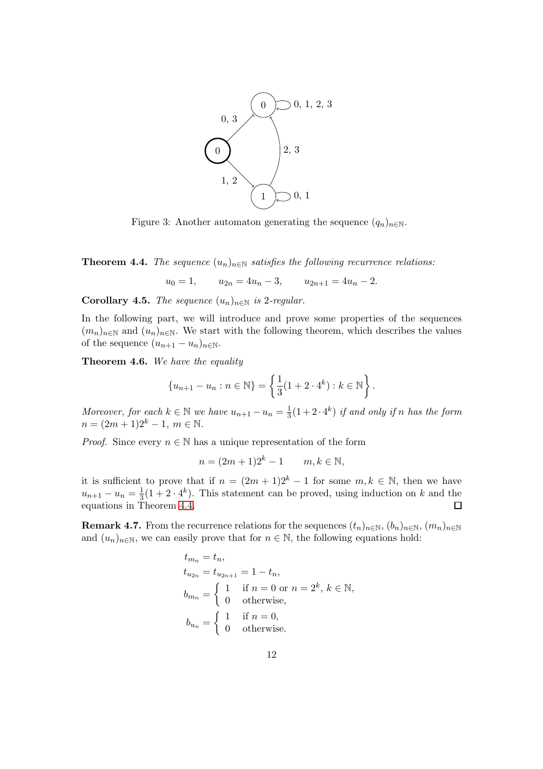

<span id="page-11-0"></span>Figure 3: Another automaton generating the sequence  $(q_n)_{n\in\mathbb{N}}$ .

<span id="page-11-1"></span>**Theorem 4.4.** *The sequence*  $(u_n)_{n \in \mathbb{N}}$  *satisfies the following recurrence relations:* 

 $u_0 = 1,$   $u_{2n} = 4u_n - 3,$   $u_{2n+1} = 4u_n - 2.$ 

<span id="page-11-2"></span>**Corollary 4.5.** *The sequence*  $(u_n)_{n \in \mathbb{N}}$  *is* 2*-regular.* 

In the following part, we will introduce and prove some properties of the sequences  $(m_n)_{n\in\mathbb{N}}$  and  $(u_n)_{n\in\mathbb{N}}$ . We start with the following theorem, which describes the values of the sequence  $(u_{n+1} - u_n)_{n \in \mathbb{N}}$ .

<span id="page-11-3"></span>Theorem 4.6. *We have the equality*

$$
\{u_{n+1} - u_n : n \in \mathbb{N}\} = \left\{\frac{1}{3}(1 + 2 \cdot 4^k) : k \in \mathbb{N}\right\}.
$$

*Moreover, for each*  $k \in \mathbb{N}$  *we have*  $u_{n+1} - u_n = \frac{1}{3}$  $\frac{1}{3}(1+2\cdot 4^k)$  *if and only if n has the form*  $n = (2m + 1)2^{k} - 1, m \in \mathbb{N}$ .

*Proof.* Since every  $n \in \mathbb{N}$  has a unique representation of the form

 $n = (2m + 1)2^{k} - 1$  m,  $k \in \mathbb{N}$ ,

it is sufficient to prove that if  $n = (2m + 1)2^{k} - 1$  for some  $m, k \in \mathbb{N}$ , then we have  $u_{n+1} - u_n = \frac{1}{3}(1 + 2 \cdot 4^k)$ . This statement can be proved, using induction on k and the equations in Theorem [4.4.](#page-11-1)  $\Box$ 

<span id="page-11-4"></span>**Remark 4.7.** From the recurrence relations for the sequences  $(t_n)_{n\in\mathbb{N}}$ ,  $(b_n)_{n\in\mathbb{N}}$ ,  $(m_n)_{n\in\mathbb{N}}$ and  $(u_n)_{n\in\mathbb{N}}$ , we can easily prove that for  $n \in \mathbb{N}$ , the following equations hold:

$$
t_{m_n} = t_n,
$$
  
\n
$$
t_{u_{2n}} = t_{u_{2n+1}} = 1 - t_n,
$$
  
\n
$$
b_{m_n} = \begin{cases} 1 & \text{if } n = 0 \text{ or } n = 2^k, k \in \mathbb{N}, \\ 0 & \text{otherwise}, \end{cases}
$$
  
\n
$$
b_{u_n} = \begin{cases} 1 & \text{if } n = 0, \\ 0 & \text{otherwise}. \end{cases}
$$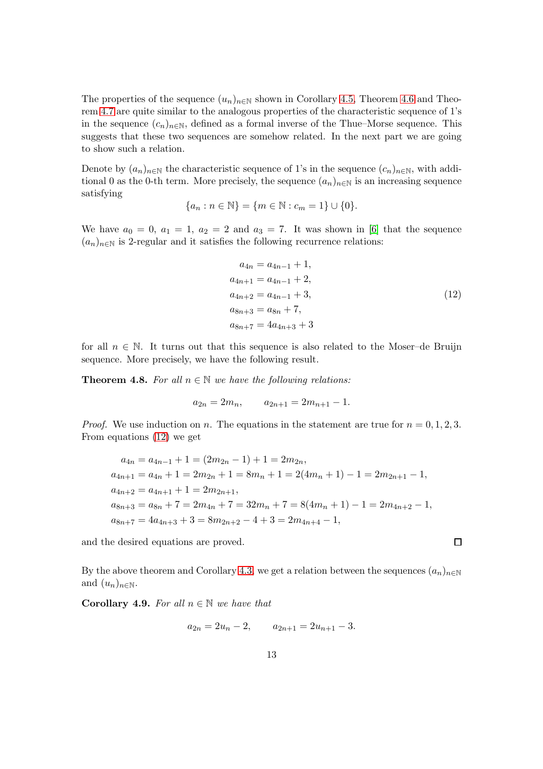The properties of the sequence  $(u_n)_{n\in\mathbb{N}}$  shown in Corollary [4.5,](#page-11-2) Theorem [4.6](#page-11-3) and Theorem [4.7](#page-11-4) are quite similar to the analogous properties of the characteristic sequence of 1's in the sequence  $(c_n)_{n\in\mathbb{N}}$ , defined as a formal inverse of the Thue–Morse sequence. This suggests that these two sequences are somehow related. In the next part we are going to show such a relation.

Denote by  $(a_n)_{n\in\mathbb{N}}$  the characteristic sequence of 1's in the sequence  $(c_n)_{n\in\mathbb{N}}$ , with additional 0 as the 0-th term. More precisely, the sequence  $(a_n)_{n\in\mathbb{N}}$  is an increasing sequence satisfying

$$
\{a_n : n \in \mathbb{N}\} = \{m \in \mathbb{N} : c_m = 1\} \cup \{0\}.
$$

We have  $a_0 = 0$ ,  $a_1 = 1$ ,  $a_2 = 2$  and  $a_3 = 7$ . It was shown in [\[6\]](#page-24-3) that the sequence  $(a_n)_{n\in\mathbb{N}}$  is 2-regular and it satisfies the following recurrence relations:

<span id="page-12-0"></span>
$$
a_{4n} = a_{4n-1} + 1,
$$
  
\n
$$
a_{4n+1} = a_{4n-1} + 2,
$$
  
\n
$$
a_{4n+2} = a_{4n-1} + 3,
$$
  
\n
$$
a_{8n+3} = a_{8n} + 7,
$$
  
\n
$$
a_{8n+7} = 4a_{4n+3} + 3
$$
\n(12)

for all  $n \in \mathbb{N}$ . It turns out that this sequence is also related to the Moser–de Bruijn sequence. More precisely, we have the following result.

<span id="page-12-1"></span>**Theorem 4.8.** For all  $n \in \mathbb{N}$  we have the following relations:

$$
a_{2n} = 2m_n, \qquad a_{2n+1} = 2m_{n+1} - 1.
$$

*Proof.* We use induction on n. The equations in the statement are true for  $n = 0, 1, 2, 3$ . From equations [\(12\)](#page-12-0) we get

$$
a_{4n} = a_{4n-1} + 1 = (2m_{2n} - 1) + 1 = 2m_{2n},
$$
  
\n
$$
a_{4n+1} = a_{4n} + 1 = 2m_{2n} + 1 = 8m_n + 1 = 2(4m_n + 1) - 1 = 2m_{2n+1} - 1,
$$
  
\n
$$
a_{4n+2} = a_{4n+1} + 1 = 2m_{2n+1},
$$
  
\n
$$
a_{8n+3} = a_{8n} + 7 = 2m_{4n} + 7 = 32m_n + 7 = 8(4m_n + 1) - 1 = 2m_{4n+2} - 1,
$$
  
\n
$$
a_{8n+7} = 4a_{4n+3} + 3 = 8m_{2n+2} - 4 + 3 = 2m_{4n+4} - 1,
$$

and the desired equations are proved.

By the above theorem and Corollary [4.3,](#page-10-1) we get a relation between the sequences  $(a_n)_{n\in\mathbb{N}}$ and  $(u_n)_{n\in\mathbb{N}}$ .

<span id="page-12-2"></span>**Corollary 4.9.** *For all*  $n \in \mathbb{N}$  *we have that* 

$$
a_{2n} = 2u_n - 2, \qquad a_{2n+1} = 2u_{n+1} - 3.
$$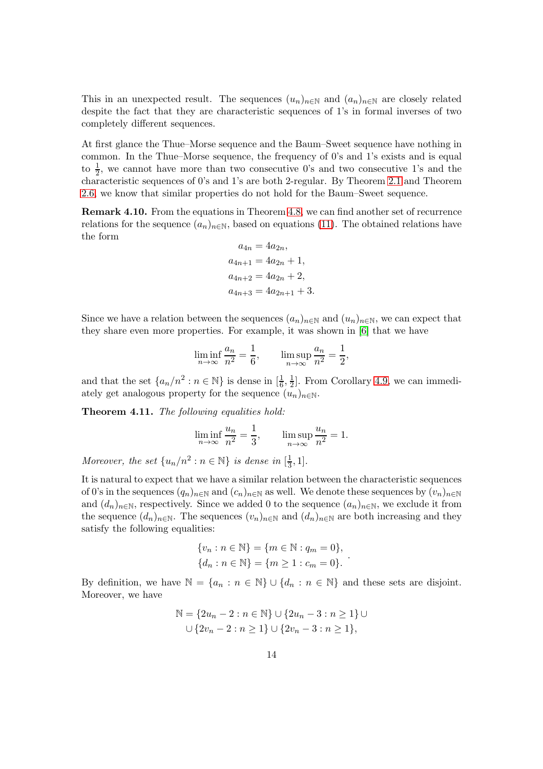This in an unexpected result. The sequences  $(u_n)_{n\in\mathbb{N}}$  and  $(a_n)_{n\in\mathbb{N}}$  are closely related despite the fact that they are characteristic sequences of 1's in formal inverses of two completely different sequences.

At first glance the Thue–Morse sequence and the Baum–Sweet sequence have nothing in common. In the Thue–Morse sequence, the frequency of 0's and 1's exists and is equal to  $\frac{1}{2}$ , we cannot have more than two consecutive 0's and two consecutive 1's and the characteristic sequences of 0's and 1's are both 2-regular. By Theorem [2.1](#page-3-1) and Theorem [2.6,](#page-5-3) we know that similar properties do not hold for the Baum–Sweet sequence.

Remark 4.10. From the equations in Theorem [4.8,](#page-12-1) we can find another set of recurrence relations for the sequence  $(a_n)_{n\in\mathbb{N}}$ , based on equations [\(11\)](#page-10-0). The obtained relations have the form

$$
a_{4n} = 4a_{2n},
$$
  
\n
$$
a_{4n+1} = 4a_{2n} + 1,
$$
  
\n
$$
a_{4n+2} = 4a_{2n} + 2,
$$
  
\n
$$
a_{4n+3} = 4a_{2n+1} + 3.
$$

Since we have a relation between the sequences  $(a_n)_{n\in\mathbb{N}}$  and  $(u_n)_{n\in\mathbb{N}}$ , we can expect that they share even more properties. For example, it was shown in [\[6\]](#page-24-3) that we have

$$
\liminf_{n \to \infty} \frac{a_n}{n^2} = \frac{1}{6}, \qquad \limsup_{n \to \infty} \frac{a_n}{n^2} = \frac{1}{2},
$$

and that the set  $\{a_n/n^2 : n \in \mathbb{N}\}\)$  is dense in  $\left[\frac{1}{6}, \frac{1}{2}\right]$  $\frac{1}{2}$ . From Corollary [4.9,](#page-12-2) we can immediately get analogous property for the sequence  $(u_n)_{n\in\mathbb{N}}$ .

Theorem 4.11. *The following equalities hold:*

$$
\liminf_{n \to \infty} \frac{u_n}{n^2} = \frac{1}{3}, \qquad \limsup_{n \to \infty} \frac{u_n}{n^2} = 1.
$$

*Moreover, the set*  $\{u_n/n^2 : n \in \mathbb{N}\}\$ is dense in  $\left[\frac{1}{3}\right]$  $\frac{1}{3}, 1].$ 

It is natural to expect that we have a similar relation between the characteristic sequences of 0's in the sequences  $(q_n)_{n\in\mathbb{N}}$  and  $(c_n)_{n\in\mathbb{N}}$  as well. We denote these sequences by  $(v_n)_{n\in\mathbb{N}}$ and  $(d_n)_{n\in\mathbb{N}}$ , respectively. Since we added 0 to the sequence  $(a_n)_{n\in\mathbb{N}}$ , we exclude it from the sequence  $(d_n)_{n\in\mathbb{N}}$ . The sequences  $(v_n)_{n\in\mathbb{N}}$  and  $(d_n)_{n\in\mathbb{N}}$  are both increasing and they satisfy the following equalities:

$$
\{v_n : n \in \mathbb{N}\} = \{m \in \mathbb{N} : q_m = 0\},\
$$
  

$$
\{d_n : n \in \mathbb{N}\} = \{m \ge 1 : c_m = 0\}.
$$

.

By definition, we have  $\mathbb{N} = \{a_n : n \in \mathbb{N}\}\cup \{d_n : n \in \mathbb{N}\}\$  and these sets are disjoint. Moreover, we have

$$
\mathbb{N} = \{2u_n - 2 : n \in \mathbb{N}\} \cup \{2u_n - 3 : n \ge 1\} \cup \{\overline{2v_n - 2} : n \ge 1\} \cup \{2v_n - 3 : n \ge 1\},\
$$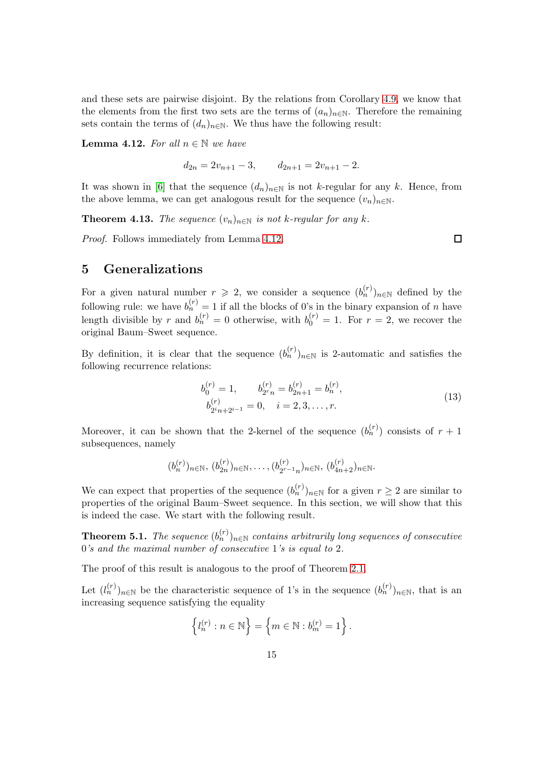and these sets are pairwise disjoint. By the relations from Corollary [4.9,](#page-12-2) we know that the elements from the first two sets are the terms of  $(a_n)_{n\in\mathbb{N}}$ . Therefore the remaining sets contain the terms of  $(d_n)_{n\in\mathbb{N}}$ . We thus have the following result:

<span id="page-14-0"></span>**Lemma 4.12.** For all  $n \in \mathbb{N}$  we have

 $d_{2n} = 2v_{n+1} - 3, \qquad d_{2n+1} = 2v_{n+1} - 2.$ 

It was shown in [\[6\]](#page-24-3) that the sequence  $(d_n)_{n\in\mathbb{N}}$  is not k-regular for any k. Hence, from the above lemma, we can get analogous result for the sequence  $(v_n)_{n\in\mathbb{N}}$ .

**Theorem 4.13.** *The sequence*  $(v_n)_{n \in \mathbb{N}}$  *is not k-regular for any k.* 

*Proof.* Follows immediately from Lemma [4.12.](#page-14-0)

 $\Box$ 

## 5 Generalizations

For a given natural number  $r \geqslant 2$ , we consider a sequence  $(b_n^{(r)})_{n \in \mathbb{N}}$  defined by the following rule: we have  $b_n^{(r)} = 1$  if all the blocks of 0's in the binary expansion of n have length divisible by r and  $b_n^{(r)} = 0$  otherwise, with  $b_0^{(r)} = 1$ . For  $r = 2$ , we recover the original Baum–Sweet sequence.

By definition, it is clear that the sequence  $(b_n^{(r)})_{n\in\mathbb{N}}$  is 2-automatic and satisfies the following recurrence relations:

<span id="page-14-1"></span>
$$
b_0^{(r)} = 1, \t b_{2r}^{(r)} = b_{2n+1}^{(r)} = b_n^{(r)},
$$
  
\n
$$
b_{2n+2i-1}^{(r)} = 0, \t i = 2, 3, ..., r.
$$
\n(13)

Moreover, it can be shown that the 2-kernel of the sequence  $(b_n^{(r)})$  consists of  $r+1$ subsequences, namely

$$
(b_n^{(r)})_{n \in \mathbb{N}}, (b_{2n}^{(r)})_{n \in \mathbb{N}}, \ldots, (b_{2r-1n}^{(r)})_{n \in \mathbb{N}}, (b_{4n+2}^{(r)})_{n \in \mathbb{N}}.
$$

We can expect that properties of the sequence  $(b_n^{(r)})_{n\in\mathbb{N}}$  for a given  $r\geq 2$  are similar to properties of the original Baum–Sweet sequence. In this section, we will show that this is indeed the case. We start with the following result.

**Theorem 5.1.** *The sequence*  $(b_n^{(r)})_{n \in \mathbb{N}}$  *contains arbitrarily long sequences of consecutive* 0*'s and the maximal number of consecutive* 1*'s is equal to* 2*.*

The proof of this result is analogous to the proof of Theorem [2.1.](#page-3-1)

Let  $(l_n^{(r)})_{n\in\mathbb{N}}$  be the characteristic sequence of 1's in the sequence  $(b_n^{(r)})_{n\in\mathbb{N}}$ , that is an increasing sequence satisfying the equality

$$
\left\{l_n^{(r)} : n \in \mathbb{N}\right\} = \left\{m \in \mathbb{N} : b_m^{(r)} = 1\right\}.
$$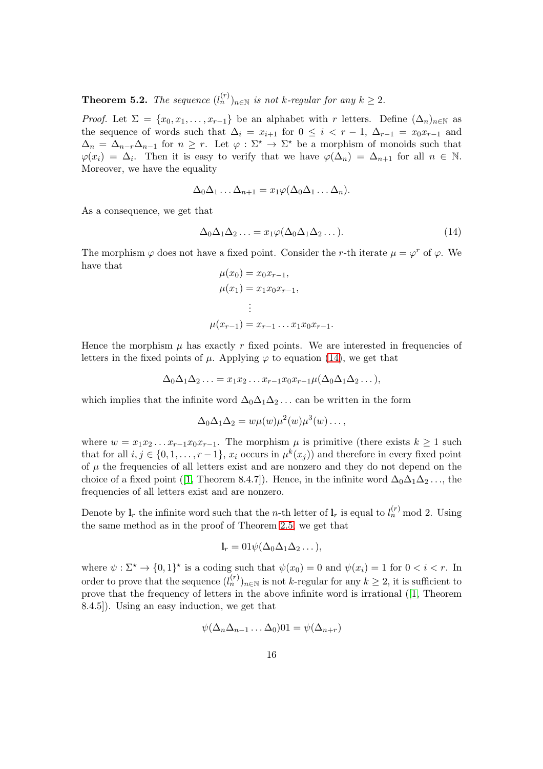**Theorem 5.2.** *The sequence*  $(l_n^{(r)})_{n \in \mathbb{N}}$  *is not k-regular for any*  $k \geq 2$ *.* 

*Proof.* Let  $\Sigma = \{x_0, x_1, \ldots, x_{r-1}\}\)$  be an alphabet with r letters. Define  $(\Delta_n)_{n \in \mathbb{N}}\$ as the sequence of words such that  $\Delta_i = x_{i+1}$  for  $0 \leq i \leq r-1$ ,  $\Delta_{r-1} = x_0 x_{r-1}$  and  $\Delta_n = \Delta_{n-r}\Delta_{n-1}$  for  $n \geq r$ . Let  $\varphi : \Sigma^* \to \Sigma^*$  be a morphism of monoids such that  $\varphi(x_i) = \Delta_i$ . Then it is easy to verify that we have  $\varphi(\Delta_n) = \Delta_{n+1}$  for all  $n \in \mathbb{N}$ . Moreover, we have the equality

$$
\Delta_0 \Delta_1 \ldots \Delta_{n+1} = x_1 \varphi(\Delta_0 \Delta_1 \ldots \Delta_n).
$$

As a consequence, we get that

<span id="page-15-0"></span>
$$
\Delta_0 \Delta_1 \Delta_2 \ldots = x_1 \varphi(\Delta_0 \Delta_1 \Delta_2 \ldots). \tag{14}
$$

The morphism  $\varphi$  does not have a fixed point. Consider the r-th iterate  $\mu = \varphi^r$  of  $\varphi$ . We have that

$$
\mu(x_0) = x_0 x_{r-1},
$$
  
\n
$$
\mu(x_1) = x_1 x_0 x_{r-1},
$$
  
\n
$$
\vdots
$$
  
\n
$$
\mu(x_{r-1}) = x_{r-1} \dots x_1 x_0 x_{r-1}.
$$

Hence the morphism  $\mu$  has exactly r fixed points. We are interested in frequencies of letters in the fixed points of  $\mu$ . Applying  $\varphi$  to equation [\(14\)](#page-15-0), we get that

$$
\Delta_0 \Delta_1 \Delta_2 \ldots = x_1 x_2 \ldots x_{r-1} x_0 x_{r-1} \mu(\Delta_0 \Delta_1 \Delta_2 \ldots),
$$

which implies that the infinite word  $\Delta_0\Delta_1\Delta_2\ldots$  can be written in the form

$$
\Delta_0 \Delta_1 \Delta_2 = w \mu(w) \mu^2(w) \mu^3(w) \dots,
$$

where  $w = x_1x_2...x_{r-1}x_0x_{r-1}$ . The morphism  $\mu$  is primitive (there exists  $k \ge 1$  such that for all  $i, j \in \{0, 1, \ldots, r-1\}, x_i$  occurs in  $\mu^k(x_j)$  and therefore in every fixed point of  $\mu$  the frequencies of all letters exist and are nonzero and they do not depend on the choice of a fixed point ([\[1,](#page-23-0) Theorem 8.4.7]). Hence, in the infinite word  $\Delta_0\Delta_1\Delta_2\ldots$ , the frequencies of all letters exist and are nonzero.

Denote by  $\mathbf{l}_r$  the infinite word such that the *n*-th letter of  $\mathbf{l}_r$  is equal to  $l_n^{(r)}$  mod 2. Using the same method as in the proof of Theorem [2.5,](#page-5-2) we get that

$$
\mathbf{l}_r = 01\psi(\Delta_0\Delta_1\Delta_2\ldots),
$$

where  $\psi : \Sigma^* \to \{0,1\}^*$  is a coding such that  $\psi(x_0) = 0$  and  $\psi(x_i) = 1$  for  $0 < i < r$ . In order to prove that the sequence  $(l_n^{(r)})_{n \in \mathbb{N}}$  is not k-regular for any  $k \geq 2$ , it is sufficient to prove that the frequency of letters in the above infinite word is irrational ([\[1,](#page-23-0) Theorem 8.4.5]). Using an easy induction, we get that

$$
\psi(\Delta_n\Delta_{n-1}\dots\Delta_0)01=\psi(\Delta_{n+r})
$$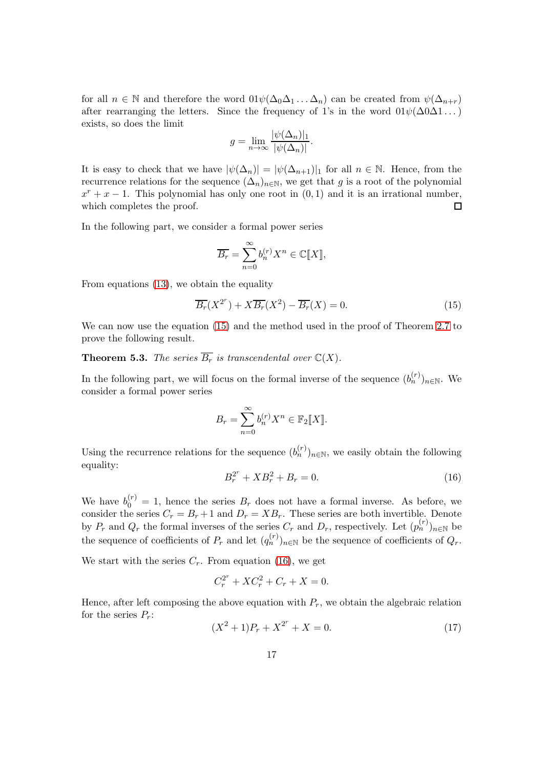for all  $n \in \mathbb{N}$  and therefore the word  $01\psi(\Delta_0\Delta_1...\Delta_n)$  can be created from  $\psi(\Delta_{n+r})$ after rearranging the letters. Since the frequency of 1's in the word  $01\psi(\Delta 0\Delta 1\dots)$ exists, so does the limit

$$
g = \lim_{n \to \infty} \frac{|\psi(\Delta_n)|_1}{|\psi(\Delta_n)|}.
$$

It is easy to check that we have  $|\psi(\Delta_n)| = |\psi(\Delta_{n+1})|_1$  for all  $n \in \mathbb{N}$ . Hence, from the recurrence relations for the sequence  $(\Delta_n)_{n\in\mathbb{N}}$ , we get that g is a root of the polynomial  $x^r + x - 1$ . This polynomial has only one root in  $(0, 1)$  and it is an irrational number, which completes the proof.  $\Box$ 

In the following part, we consider a formal power series

$$
\overline{B_r} = \sum_{n=0}^{\infty} b_n^{(r)} X^n \in \mathbb{C}[\![X]\!],
$$

From equations [\(13\)](#page-14-1), we obtain the equality

<span id="page-16-0"></span>
$$
\overline{B_r}(X^{2^r}) + X\overline{B_r}(X^2) - \overline{B_r}(X) = 0.
$$
\n(15)

We can now use the equation [\(15\)](#page-16-0) and the method used in the proof of Theorem [2.7](#page-6-1) to prove the following result.

**Theorem 5.3.** *The series*  $\overline{B_r}$  *is transcendental over*  $\mathbb{C}(X)$ *.* 

In the following part, we will focus on the formal inverse of the sequence  $(b_n^{(r)})_{n\in\mathbb{N}}$ . We consider a formal power series

$$
B_r = \sum_{n=0}^{\infty} b_n^{(r)} X^n \in \mathbb{F}_2[[X]].
$$

Using the recurrence relations for the sequence  $(b_n^{(r)})_{n \in \mathbb{N}}$ , we easily obtain the following equality: r

<span id="page-16-1"></span>
$$
B_r^{2^r} + XB_r^2 + B_r = 0.
$$
 (16)

We have  $b_0^{(r)} = 1$ , hence the series  $B_r$  does not have a formal inverse. As before, we consider the series  $C_r = B_r + 1$  and  $D_r = XB_r$ . These series are both invertible. Denote by  $P_r$  and  $Q_r$  the formal inverses of the series  $C_r$  and  $D_r$ , respectively. Let  $(p_n^{(r)})_{n\in\mathbb{N}}$  be the sequence of coefficients of  $P_r$  and let  $(q_n^{(r)})_{n\in\mathbb{N}}$  be the sequence of coefficients of  $Q_r$ .

We start with the series  $C_r$ . From equation [\(16\)](#page-16-1), we get

$$
C_r^{2^r} + XC_r^2 + C_r + X = 0.
$$

Hence, after left composing the above equation with  $P_r$ , we obtain the algebraic relation for the series  $P_r$ : r

<span id="page-16-2"></span>
$$
(X2 + 1)Pr + X2r + X = 0.
$$
 (17)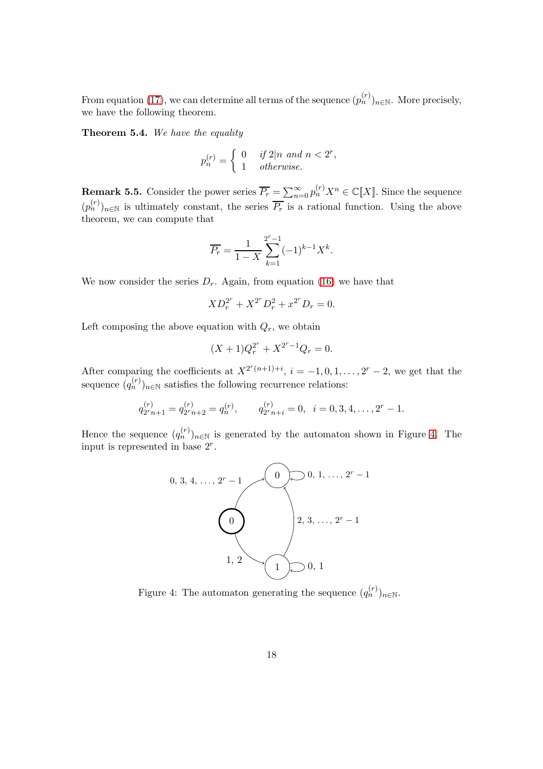From equation [\(17\)](#page-16-2), we can determine all terms of the sequence  $(p_n^{(r)})_{n \in \mathbb{N}}$ . More precisely, we have the following theorem.

Theorem 5.4. *We have the equality*

$$
p_n^{(r)} = \begin{cases} 0 & \text{if } 2|n \text{ and } n < 2^r, \\ 1 & \text{otherwise.} \end{cases}
$$

**Remark 5.5.** Consider the power series  $\overline{P_r} = \sum_{n=0}^{\infty} p_n^{(r)} X^n \in \mathbb{C}[[X]]$ . Since the sequence  $(p_n^{(r)})_{n\in\mathbb{N}}$  is ultimately constant, the series  $\overline{P_r}$  is a rational function. Using the above theorem, we can compute that

$$
\overline{P_r} = \frac{1}{1-X} \sum_{k=1}^{2^r - 1} (-1)^{k-1} X^k.
$$

We now consider the series  $D_r$ . Again, from equation [\(16\)](#page-16-1) we have that

$$
XD_r^{2^r} + X^{2^r} D_r^2 + x^{2^r} D_r = 0.
$$

Left composing the above equation with  $Q_r$ , we obtain

$$
(X+1)Q_r^{2^r} + X^{2^r-1}Q_r = 0.
$$

After comparing the coefficients at  $X^{2^r(n+1)+i}$ ,  $i = -1, 0, 1, ..., 2^r - 2$ , we get that the sequence  $(q_n^{(r)})_{n \in \mathbb{N}}$  satisfies the following recurrence relations:

$$
q_{2r}^{(r)} = q_{2r}^{(r)} = q_n^{(r)},
$$
  $q_{2r}^{(r)} = 0,$   $i = 0, 3, 4, ..., 2^r - 1.$ 

Hence the sequence  $(q_n^{(r)})_{n\in\mathbb{N}}$  is generated by the automaton shown in Figure [4.](#page-17-0) The input is represented in base 2<sup>r</sup> .



<span id="page-17-0"></span>Figure 4: The automaton generating the sequence  $(q_n^{(r)})_{n \in \mathbb{N}}$ .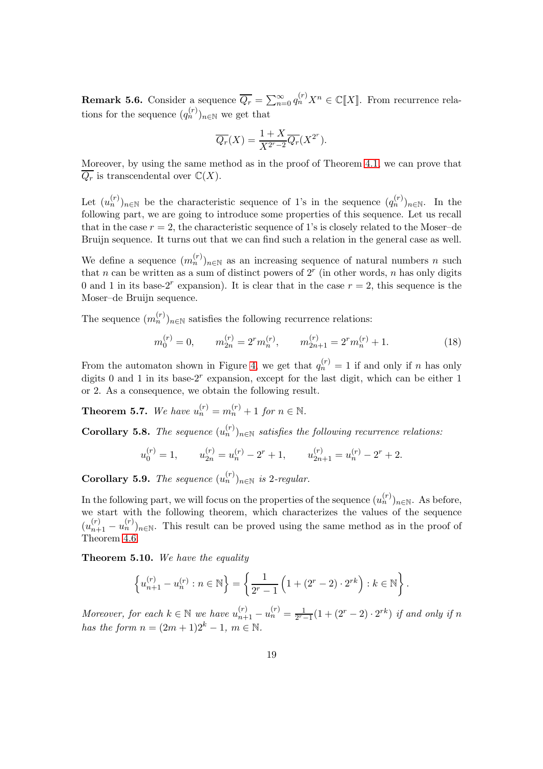**Remark 5.6.** Consider a sequence  $\overline{Q_r} = \sum_{n=0}^{\infty} q_n^{(r)} X^n \in \mathbb{C}[[X]]$ . From recurrence relations for the sequence  $(q_n^{(r)})_{n \in \mathbb{N}}$  we get that

$$
\overline{Q_r}(X) = \frac{1+X}{X^{2^r-2}} \overline{Q_r}(X^{2^r}).
$$

Moreover, by using the same method as in the proof of Theorem [4.1,](#page-10-2) we can prove that  $\overline{Q_r}$  is transcendental over  $\mathbb{C}(X)$ .

Let  $(u_n^{(r)})_{n\in\mathbb{N}}$  be the characteristic sequence of 1's in the sequence  $(q_n^{(r)})_{n\in\mathbb{N}}$ . In the following part, we are going to introduce some properties of this sequence. Let us recall that in the case  $r = 2$ , the characteristic sequence of 1's is closely related to the Moser–de Bruijn sequence. It turns out that we can find such a relation in the general case as well.

We define a sequence  $(m_n^{(r)})_{n \in \mathbb{N}}$  as an increasing sequence of natural numbers n such that n can be written as a sum of distinct powers of  $2<sup>r</sup>$  (in other words, n has only digits 0 and 1 in its base-2<sup>r</sup> expansion). It is clear that in the case  $r = 2$ , this sequence is the Moser–de Bruijn sequence.

The sequence  $(m_n^{(r)})_{n \in \mathbb{N}}$  satisfies the following recurrence relations:

<span id="page-18-3"></span>
$$
m_0^{(r)} = 0, \qquad m_{2n}^{(r)} = 2^r m_n^{(r)}, \qquad m_{2n+1}^{(r)} = 2^r m_n^{(r)} + 1. \tag{18}
$$

From the automaton shown in Figure [4,](#page-17-0) we get that  $q_n^{(r)} = 1$  if and only if n has only digits 0 and 1 in its base-2<sup>r</sup> expansion, except for the last digit, which can be either 1 or 2. As a consequence, we obtain the following result.

<span id="page-18-1"></span>**Theorem 5.7.** We have  $u_n^{(r)} = m_n^{(r)} + 1$  for  $n \in \mathbb{N}$ .

<span id="page-18-0"></span>**Corollary 5.8.** *The sequence*  $(u_n^{(r)})_{n \in \mathbb{N}}$  *satisfies the following recurrence relations:* 

$$
u_0^{(r)} = 1,
$$
  $u_{2n}^{(r)} = u_n^{(r)} - 2^r + 1,$   $u_{2n+1}^{(r)} = u_n^{(r)} - 2^r + 2.$ 

**Corollary 5.9.** *The sequence*  $(u_n^{(r)})_{n \in \mathbb{N}}$  *is* 2*-regular.* 

In the following part, we will focus on the properties of the sequence  $(u_n^{(r)})_{n\in\mathbb{N}}$ . As before, we start with the following theorem, which characterizes the values of the sequence  $(u_{n+1}^{(r)} - u_n^{(r)})_{n \in \mathbb{N}}$ . This result can be proved using the same method as in the proof of Theorem [4.6.](#page-11-3)

<span id="page-18-2"></span>Theorem 5.10. *We have the equality*

$$
\left\{ u_{n+1}^{(r)} - u_n^{(r)} : n \in \mathbb{N} \right\} = \left\{ \frac{1}{2^r - 1} \left( 1 + (2^r - 2) \cdot 2^{r k} \right) : k \in \mathbb{N} \right\}.
$$

*Moreover, for each*  $k \in \mathbb{N}$  *we have*  $u_{n+1}^{(r)} - u_n^{(r)} = \frac{1}{2^{r-1}}$  $\frac{1}{2^{r}-1}(1+(2^{r}-2)\cdot 2^{rk})$  *if and only if* n *has the form*  $n = (2m + 1)2^{k} - 1$ ,  $m \in \mathbb{N}$ .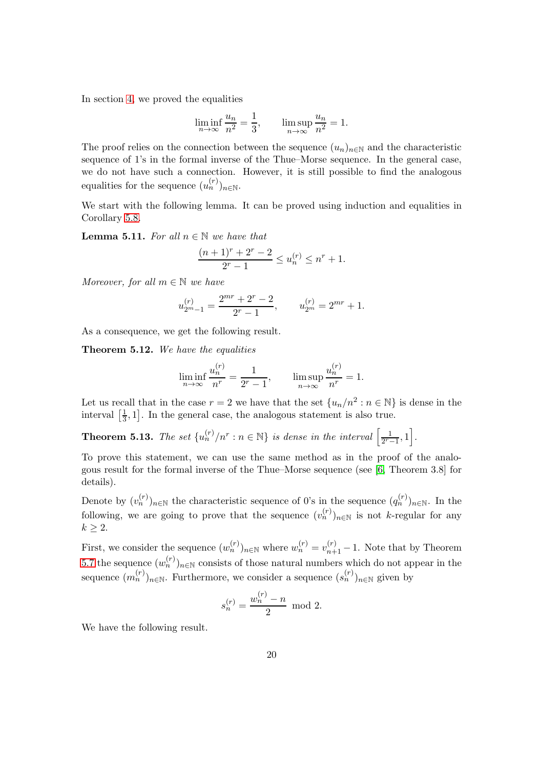In section [4,](#page-8-3) we proved the equalities

$$
\liminf_{n \to \infty} \frac{u_n}{n^2} = \frac{1}{3}, \qquad \limsup_{n \to \infty} \frac{u_n}{n^2} = 1.
$$

The proof relies on the connection between the sequence  $(u_n)_{n\in\mathbb{N}}$  and the characteristic sequence of 1's in the formal inverse of the Thue–Morse sequence. In the general case, we do not have such a connection. However, it is still possible to find the analogous equalities for the sequence  $(u_n^{(r)})_{n \in \mathbb{N}}$ .

We start with the following lemma. It can be proved using induction and equalities in Corollary [5.8.](#page-18-0)

**Lemma 5.11.** For all  $n \in \mathbb{N}$  we have that

$$
\frac{(n+1)^r + 2^r - 2}{2^r - 1} \le u_n^{(r)} \le n^r + 1.
$$

*Moreover, for all*  $m \in \mathbb{N}$  *we have* 

$$
u_{2m-1}^{(r)} = \frac{2^{mr} + 2^r - 2}{2^r - 1}, \qquad u_{2m}^{(r)} = 2^{mr} + 1.
$$

As a consequence, we get the following result.

Theorem 5.12. *We have the equalities*

$$
\liminf_{n \to \infty} \frac{u_n^{(r)}}{n^r} = \frac{1}{2^r - 1}, \qquad \limsup_{n \to \infty} \frac{u_n^{(r)}}{n^r} = 1.
$$

Let us recall that in the case  $r = 2$  we have that the set  $\{u_n/n^2 : n \in \mathbb{N}\}\)$  is dense in the interval  $\left[\frac{1}{3}\right]$  $\frac{1}{3}$ , 1]. In the general case, the analogous statement is also true.

**Theorem 5.13.** The set  ${u_n^{(r)} / n^r : n \in \mathbb{N}}$  is dense in the interval  $\left[\frac{1}{2^r}\right]$  $\frac{1}{2^{r}-1}, 1\bigg].$ 

To prove this statement, we can use the same method as in the proof of the analogous result for the formal inverse of the Thue–Morse sequence (see [\[6,](#page-24-3) Theorem 3.8] for details).

Denote by  $(v_n^{(r)})_{n\in\mathbb{N}}$  the characteristic sequence of 0's in the sequence  $(q_n^{(r)})_{n\in\mathbb{N}}$ . In the following, we are going to prove that the sequence  $(v_n^{(r)})_{n\in\mathbb{N}}$  is not k-regular for any  $k \geq 2$ .

First, we consider the sequence  $(w_n^{(r)})_{n \in \mathbb{N}}$  where  $w_n^{(r)} = v_{n+1}^{(r)} - 1$ . Note that by Theorem [5.7](#page-18-1) the sequence  $(w_n^{(r)})_{n\in\mathbb{N}}$  consists of those natural numbers which do not appear in the sequence  $(m_n^{(r)})_{n \in \mathbb{N}}$ . Furthermore, we consider a sequence  $(s_n^{(r)})_{n \in \mathbb{N}}$  given by

$$
s_n^{(r)} = \frac{w_n^{(r)} - n}{2} \mod 2.
$$

We have the following result.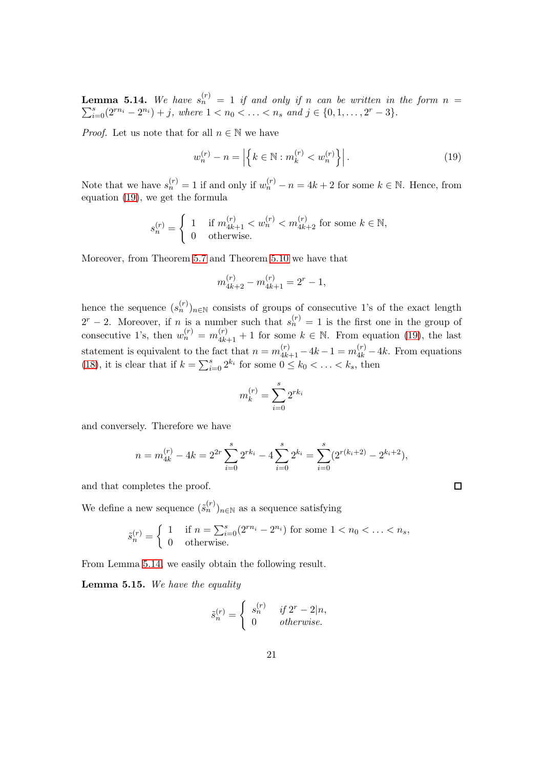<span id="page-20-1"></span>**Lemma 5.14.** We have  $s_n^{(r)} = 1$  if and only if n can be written in the form  $n = \sum_{i=0}^{s} (2^{rn_i} - 2^{n_i}) + j$ , where  $1 < n_0 < \ldots < n_s$  and  $j \in \{0, 1, \ldots, 2^r - 3\}$ .  $s_{i=0}^{s}(2^{rn_i}-2^{n_i})+j$ , where  $1 < n_0 < \ldots < n_s$  and  $j \in \{0,1,\ldots,2^r-3\}$ .

*Proof.* Let us note that for all  $n \in \mathbb{N}$  we have

<span id="page-20-0"></span>
$$
w_n^{(r)} - n = |\left\{ k \in \mathbb{N} : m_k^{(r)} < w_n^{(r)} \right\} |.
$$
\n(19)

Note that we have  $s_n^{(r)} = 1$  if and only if  $w_n^{(r)} - n = 4k + 2$  for some  $k \in \mathbb{N}$ . Hence, from equation [\(19\)](#page-20-0), we get the formula

$$
s_n^{(r)} = \begin{cases} 1 & \text{if } m_{4k+1}^{(r)} < w_n^{(r)} < m_{4k+2}^{(r)} \text{ for some } k \in \mathbb{N}, \\ 0 & \text{otherwise.} \end{cases}
$$

Moreover, from Theorem [5.7](#page-18-1) and Theorem [5.10](#page-18-2) we have that

$$
m_{4k+2}^{(r)} - m_{4k+1}^{(r)} = 2^r - 1,
$$

hence the sequence  $(s_n^{(r)})_{n\in\mathbb{N}}$  consists of groups of consecutive 1's of the exact length  $2^{r} - 2$ . Moreover, if *n* is a number such that  $s_n^{(r)} = 1$  is the first one in the group of consecutive 1's, then  $w_n^{(r)} = m_{4k+1}^{(r)} + 1$  for some  $k \in \mathbb{N}$ . From equation [\(19\)](#page-20-0), the last statement is equivalent to the fact that  $n = m_{4k+1}^{(r)} - 4k - 1 = m_{4k}^{(r)} - 4k$ . From equations [\(18\)](#page-18-3), it is clear that if  $k = \sum_{i=0}^{s} 2^{k_i}$  for some  $0 \le k_0 < \ldots < k_s$ , then

$$
m_k^{(r)} = \sum_{i=0}^{s} 2^{rk_i}
$$

and conversely. Therefore we have

$$
n = m_{4k}^{(r)} - 4k = 2^{2r} \sum_{i=0}^{s} 2^{rk_i} - 4 \sum_{i=0}^{s} 2^{k_i} = \sum_{i=0}^{s} (2^{r(k_i+2)} - 2^{k_i+2}),
$$

 $\Box$ 

and that completes the proof.

We define a new sequence  $(\tilde{s}_n^{(r)})_{n \in \mathbb{N}}$  as a sequence satisfying

$$
\tilde{s}_n^{(r)} = \begin{cases} 1 & \text{if } n = \sum_{i=0}^s (2^{rn_i} - 2^{n_i}) \text{ for some } 1 < n_0 < \ldots < n_s, \\ 0 & \text{otherwise.} \end{cases}
$$

From Lemma [5.14,](#page-20-1) we easily obtain the following result.

<span id="page-20-2"></span>Lemma 5.15. *We have the equality*

$$
\tilde{s}_n^{(r)} = \begin{cases}\ns_n^{(r)} & \text{if } 2^r - 2|n, \\
0 & \text{otherwise.}\n\end{cases}
$$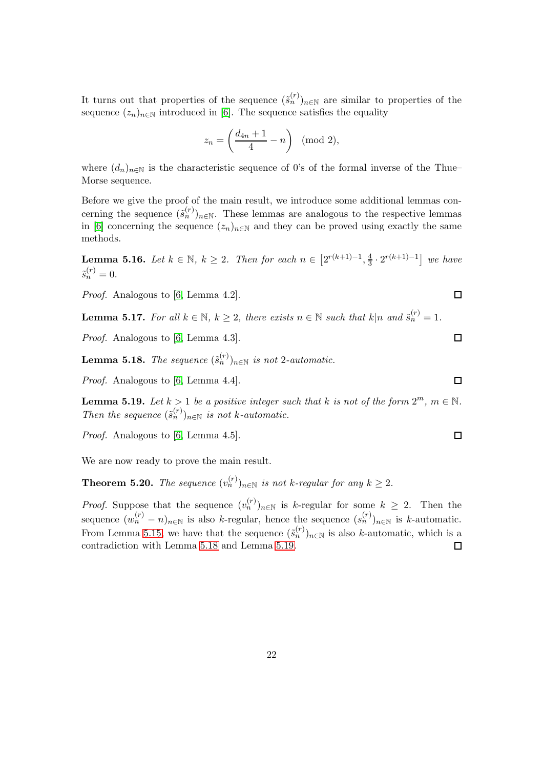It turns out that properties of the sequence  $(\tilde{s}_n^{(r)})_{n\in\mathbb{N}}$  are similar to properties of the sequence  $(z_n)_{n\in\mathbb{N}}$  introduced in [\[6\]](#page-24-3). The sequence satisfies the equality

$$
z_n = \left(\frac{d_{4n}+1}{4} - n\right) \pmod{2},
$$

where  $(d_n)_{n\in\mathbb{N}}$  is the characteristic sequence of 0's of the formal inverse of the Thue– Morse sequence.

Before we give the proof of the main result, we introduce some additional lemmas concerning the sequence  $(\tilde{s}_n^{(r)})_{n \in \mathbb{N}}$ . These lemmas are analogous to the respective lemmas in [\[6\]](#page-24-3) concerning the sequence  $(z_n)_{n\in\mathbb{N}}$  and they can be proved using exactly the same methods.

**Lemma 5.16.** *Let*  $k \in \mathbb{N}$ ,  $k \geq 2$ . *Then for each*  $n \in \left[2^{r(k+1)-1}, \frac{4}{3}\right]$  $\frac{4}{3} \cdot 2^{r(k+1)-1}$  *we have*  $\tilde{s}_n^{(r)}=0.$ 

*Proof.* Analogous to [\[6,](#page-24-3) Lemma 4.2].

**Lemma 5.17.** For all  $k \in \mathbb{N}$ ,  $k \geq 2$ , there exists  $n \in \mathbb{N}$  such that  $k|n$  and  $\tilde{s}_n^{(r)} = 1$ .

*Proof.* Analogous to [\[6,](#page-24-3) Lemma 4.3].

<span id="page-21-0"></span>**Lemma 5.18.** *The sequence*  $(\tilde{s}_n^{(r)})_{n \in \mathbb{N}}$  *is not* 2*-automatic.* 

*Proof.* Analogous to [\[6,](#page-24-3) Lemma 4.4].

<span id="page-21-1"></span>**Lemma 5.19.** Let  $k > 1$  be a positive integer such that k is not of the form  $2^m$ ,  $m \in \mathbb{N}$ . *Then the sequence*  $(\tilde{s}_n^{(r)})_{n \in \mathbb{N}}$  *is not k-automatic.* 

*Proof.* Analogous to [\[6,](#page-24-3) Lemma 4.5].

We are now ready to prove the main result.

**Theorem 5.20.** *The sequence*  $(v_n^{(r)})_{n \in \mathbb{N}}$  *is not k-regular for any*  $k \geq 2$ *.* 

*Proof.* Suppose that the sequence  $(v_n^{(r)})_{n \in \mathbb{N}}$  is k-regular for some  $k \geq 2$ . Then the sequence  $(w_n^{(r)} - n)_{n \in \mathbb{N}}$  is also k-regular, hence the sequence  $(s_n^{(r)})_{n \in \mathbb{N}}$  is k-automatic. From Lemma [5.15,](#page-20-2) we have that the sequence  $(\tilde{s}_n^{(r)})_{n\in\mathbb{N}}$  is also k-automatic, which is a contradiction with Lemma [5.18](#page-21-0) and Lemma [5.19.](#page-21-1)

 $\Box$ 

 $\Box$ 

 $\Box$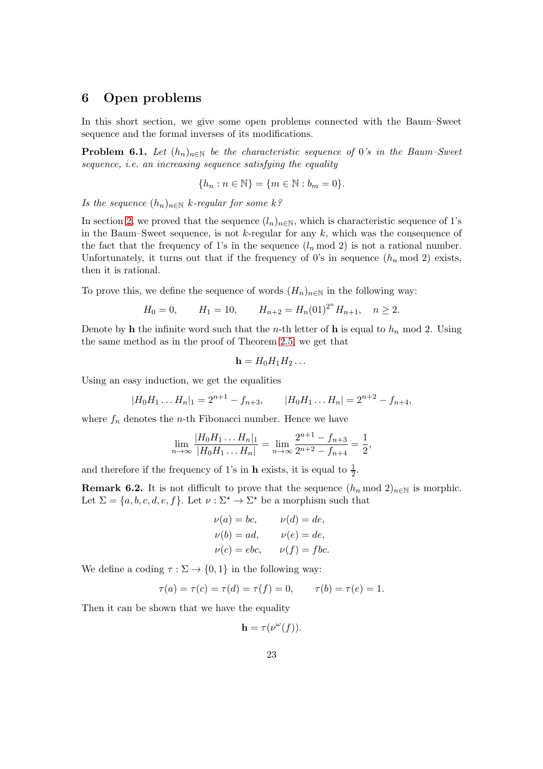## 6 Open problems

In this short section, we give some open problems connected with the Baum–Sweet sequence and the formal inverses of its modifications.

**Problem 6.1.** *Let*  $(h_n)_{n\in\mathbb{N}}$  *be the characteristic sequence of* 0*'s in the Baum–Sweet sequence, i.e. an increasing sequence satisfying the equality*

$$
\{h_n : n \in \mathbb{N}\} = \{m \in \mathbb{N} : b_m = 0\}.
$$

*Is the sequence*  $(h_n)_{n \in \mathbb{N}}$  *k*-*regular for some k*?

In section [2,](#page-3-2) we proved that the sequence  $(l_n)_{n\in\mathbb{N}}$ , which is characteristic sequence of 1's in the Baum–Sweet sequence, is not  $k$ -regular for any  $k$ , which was the consequence of the fact that the frequency of 1's in the sequence  $(l_n \mod 2)$  is not a rational number. Unfortunately, it turns out that if the frequency of 0's in sequence  $(h_n \mod 2)$  exists, then it is rational.

To prove this, we define the sequence of words  $(H_n)_{n\in\mathbb{N}}$  in the following way:

$$
H_0 = 0,
$$
  $H_1 = 10,$   $H_{n+2} = H_n(01)^{2^n} H_{n+1}, n \ge 2.$ 

Denote by h the infinite word such that the *n*-th letter of h is equal to  $h_n$  mod 2. Using the same method as in the proof of Theorem [2.5,](#page-5-2) we get that

$$
\mathbf{h}=H_0H_1H_2\ldots
$$

Using an easy induction, we get the equalities

$$
|H_0H_1...H_n|_1 = 2^{n+1} - f_{n+3}, \qquad |H_0H_1...H_n| = 2^{n+2} - f_{n+4},
$$

where  $f_n$  denotes the *n*-th Fibonacci number. Hence we have

$$
\lim_{n \to \infty} \frac{|H_0 H_1 \dots H_n|}{|H_0 H_1 \dots H_n|} = \lim_{n \to \infty} \frac{2^{n+1} - f_{n+3}}{2^{n+2} - f_{n+4}} = \frac{1}{2},
$$

and therefore if the frequency of 1's in **h** exists, it is equal to  $\frac{1}{2}$ .

**Remark 6.2.** It is not difficult to prove that the sequence  $(h_n \mod 2)_{n \in \mathbb{N}}$  is morphic. Let  $\Sigma = \{a, b, c, d, e, f\}$ . Let  $\nu : \Sigma^* \to \Sigma^*$  be a morphism such that

$$
\nu(a) = bc, \qquad \nu(d) = de,
$$
  
\n
$$
\nu(b) = ad, \qquad \nu(e) = de,
$$
  
\n
$$
\nu(c) = ebc, \qquad \nu(f) = fbc.
$$

We define a coding  $\tau : \Sigma \to \{0,1\}$  in the following way:

$$
\tau(a) = \tau(c) = \tau(d) = \tau(f) = 0, \qquad \tau(b) = \tau(e) = 1.
$$

Then it can be shown that we have the equality

$$
\mathbf{h} = \tau(\nu^{\omega}(f)).
$$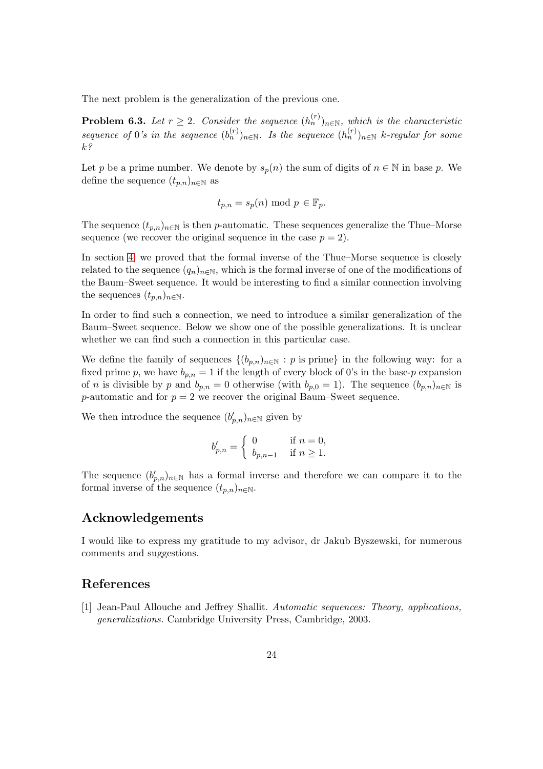The next problem is the generalization of the previous one.

**Problem 6.3.** Let  $r \geq 2$ . Consider the sequence  $(h_n^{(r)})_{n \in \mathbb{N}}$ , which is the characteristic *sequence* of 0's in the sequence  $(b_n^{(r)})_{n \in \mathbb{N}}$ . Is the sequence  $(h_n^{(r)})_{n \in \mathbb{N}}$  k-regular for some k*?*

Let p be a prime number. We denote by  $s_p(n)$  the sum of digits of  $n \in \mathbb{N}$  in base p. We define the sequence  $(t_{p,n})_{n\in\mathbb{N}}$  as

$$
t_{p,n} = s_p(n) \text{ mod } p \in \mathbb{F}_p.
$$

The sequence  $(t_{p,n})_{n\in\mathbb{N}}$  is then p-automatic. These sequences generalize the Thue–Morse sequence (we recover the original sequence in the case  $p = 2$ ).

In section [4,](#page-8-3) we proved that the formal inverse of the Thue–Morse sequence is closely related to the sequence  $(q_n)_{n\in\mathbb{N}}$ , which is the formal inverse of one of the modifications of the Baum–Sweet sequence. It would be interesting to find a similar connection involving the sequences  $(t_{p,n})_{n\in\mathbb{N}}$ .

In order to find such a connection, we need to introduce a similar generalization of the Baum–Sweet sequence. Below we show one of the possible generalizations. It is unclear whether we can find such a connection in this particular case.

We define the family of sequences  $\{(b_{p,n})_{n\in\mathbb{N}} : p \text{ is prime}\}\$  in the following way: for a fixed prime p, we have  $b_{p,n} = 1$  if the length of every block of 0's in the base-p expansion of n is divisible by p and  $b_{p,n} = 0$  otherwise (with  $b_{p,0} = 1$ ). The sequence  $(b_{p,n})_{n \in \mathbb{N}}$  is p-automatic and for  $p = 2$  we recover the original Baum–Sweet sequence.

We then introduce the sequence  $(b'_{p,n})_{n\in\mathbb{N}}$  given by

$$
b'_{p,n} = \begin{cases} 0 & \text{if } n = 0,\\ b_{p,n-1} & \text{if } n \geq 1. \end{cases}
$$

The sequence  $(b'_{p,n})_{n\in\mathbb{N}}$  has a formal inverse and therefore we can compare it to the formal inverse of the sequence  $(t_{p,n})_{n\in\mathbb{N}}$ .

## Acknowledgements

I would like to express my gratitude to my advisor, dr Jakub Byszewski, for numerous comments and suggestions.

### <span id="page-23-0"></span>References

[1] Jean-Paul Allouche and Jeffrey Shallit. *Automatic sequences: Theory, applications, generalizations.* Cambridge University Press, Cambridge, 2003.